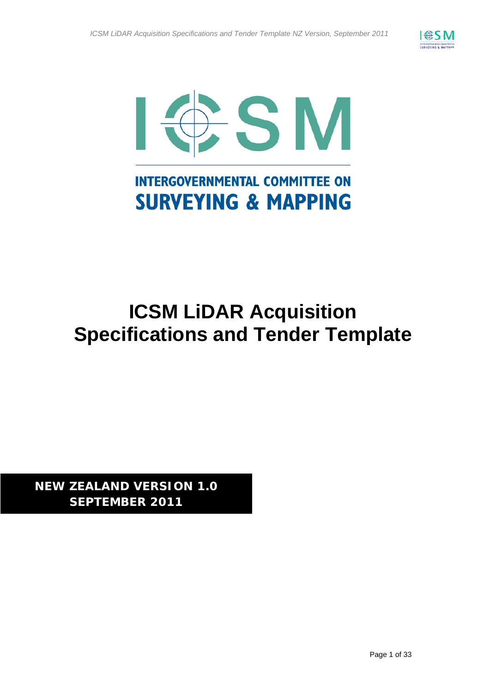



# **ICSM LiDAR Acquisition Specifications and Tender Template**

**NEW ZEALAND VERSION 1.0 SEPTEMBER 2011**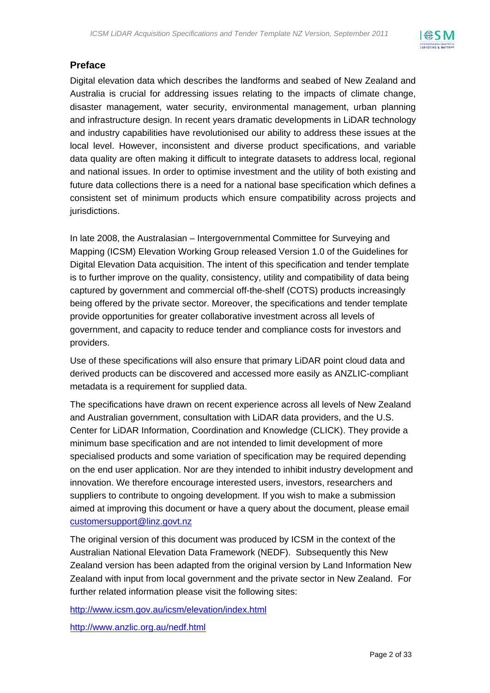

### **Preface**

Digital elevation data which describes the landforms and seabed of New Zealand and Australia is crucial for addressing issues relating to the impacts of climate change, disaster management, water security, environmental management, urban planning and infrastructure design. In recent years dramatic developments in LiDAR technology and industry capabilities have revolutionised our ability to address these issues at the local level. However, inconsistent and diverse product specifications, and variable data quality are often making it difficult to integrate datasets to address local, regional and national issues. In order to optimise investment and the utility of both existing and future data collections there is a need for a national base specification which defines a consistent set of minimum products which ensure compatibility across projects and jurisdictions.

In late 2008, the Australasian – Intergovernmental Committee for Surveying and Mapping (ICSM) Elevation Working Group released Version 1.0 of the Guidelines for Digital Elevation Data acquisition. The intent of this specification and tender template is to further improve on the quality, consistency, utility and compatibility of data being captured by government and commercial off-the-shelf (COTS) products increasingly being offered by the private sector. Moreover, the specifications and tender template provide opportunities for greater collaborative investment across all levels of government, and capacity to reduce tender and compliance costs for investors and providers.

Use of these specifications will also ensure that primary LiDAR point cloud data and derived products can be discovered and accessed more easily as ANZLIC-compliant metadata is a requirement for supplied data.

The specifications have drawn on recent experience across all levels of New Zealand and Australian government, consultation with LiDAR data providers, and the U.S. Center for LiDAR Information, Coordination and Knowledge (CLICK). They provide a minimum base specification and are not intended to limit development of more specialised products and some variation of specification may be required depending on the end user application. Nor are they intended to inhibit industry development and innovation. We therefore encourage interested users, investors, researchers and suppliers to contribute to ongoing development. If you wish to make a submission aimed at improving this document or have a query about the document, please email customersupport@linz.govt.nz

The original version of this document was produced by ICSM in the context of the Australian National Elevation Data Framework (NEDF). Subsequently this New Zealand version has been adapted from the original version by Land Information New Zealand with input from local government and the private sector in New Zealand. For further related information please visit the following sites:

http://www.icsm.gov.au/icsm/elevation/index.html

http://www.anzlic.org.au/nedf.html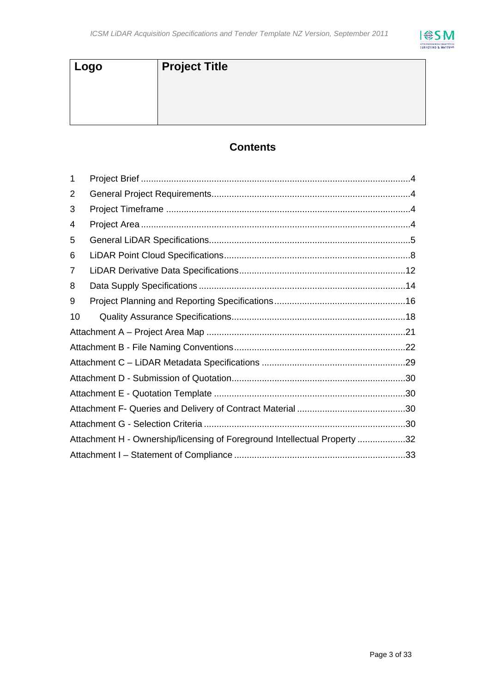

| <b>Project Title</b> |
|----------------------|
|                      |
|                      |
|                      |

## **Contents**

| 1  |                                                                           |  |  |  |
|----|---------------------------------------------------------------------------|--|--|--|
| 2  |                                                                           |  |  |  |
| 3  |                                                                           |  |  |  |
| 4  |                                                                           |  |  |  |
| 5  |                                                                           |  |  |  |
| 6  |                                                                           |  |  |  |
| 7  |                                                                           |  |  |  |
| 8  |                                                                           |  |  |  |
| 9  |                                                                           |  |  |  |
| 10 |                                                                           |  |  |  |
|    |                                                                           |  |  |  |
|    |                                                                           |  |  |  |
|    |                                                                           |  |  |  |
|    |                                                                           |  |  |  |
|    |                                                                           |  |  |  |
|    |                                                                           |  |  |  |
|    |                                                                           |  |  |  |
|    | Attachment H - Ownership/licensing of Foreground Intellectual Property 32 |  |  |  |
|    |                                                                           |  |  |  |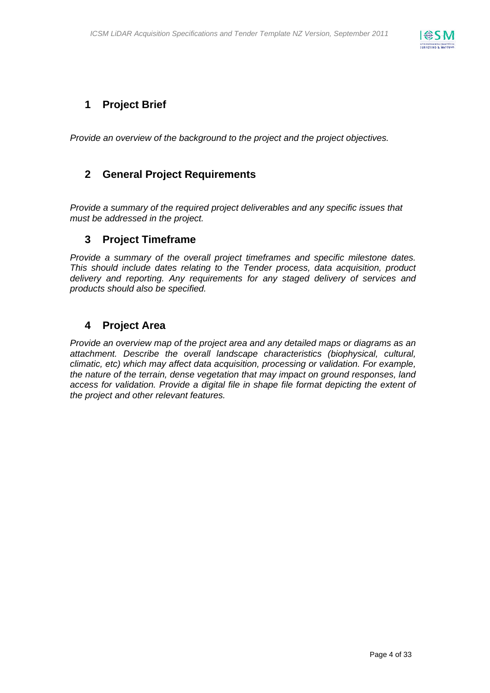

## **1 Project Brief**

*Provide an overview of the background to the project and the project objectives.* 

## **2 General Project Requirements**

*Provide a summary of the required project deliverables and any specific issues that must be addressed in the project.* 

### **3 Project Timeframe**

*Provide a summary of the overall project timeframes and specific milestone dates. This should include dates relating to the Tender process, data acquisition, product delivery and reporting. Any requirements for any staged delivery of services and products should also be specified.* 

### **4 Project Area**

*Provide an overview map of the project area and any detailed maps or diagrams as an attachment. Describe the overall landscape characteristics (biophysical, cultural, climatic, etc) which may affect data acquisition, processing or validation. For example, the nature of the terrain, dense vegetation that may impact on ground responses, land*  access for validation. Provide a digital file in shape file format depicting the extent of *the project and other relevant features.*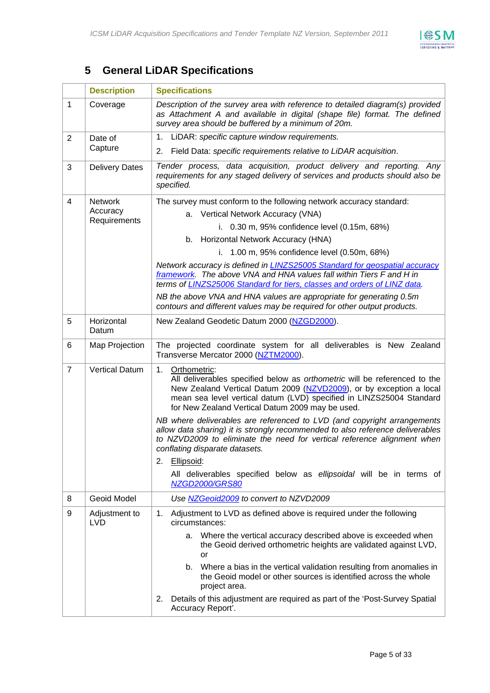

## **5 General LiDAR Specifications**

|                | <b>Description</b>          | <b>Specifications</b>                                                                                                                                                                                                                                                                           |  |  |  |  |
|----------------|-----------------------------|-------------------------------------------------------------------------------------------------------------------------------------------------------------------------------------------------------------------------------------------------------------------------------------------------|--|--|--|--|
| $\mathbf{1}$   | Coverage                    | Description of the survey area with reference to detailed diagram(s) provided<br>as Attachment A and available in digital (shape file) format. The defined<br>survey area should be buffered by a minimum of 20m.                                                                               |  |  |  |  |
| $\overline{2}$ | Date of                     | 1. LiDAR: specific capture window requirements.                                                                                                                                                                                                                                                 |  |  |  |  |
|                | Capture                     | Field Data: specific requirements relative to LiDAR acquisition.<br>2.                                                                                                                                                                                                                          |  |  |  |  |
| 3              | <b>Delivery Dates</b>       | Tender process, data acquisition, product delivery and reporting. Any<br>requirements for any staged delivery of services and products should also be<br>specified.                                                                                                                             |  |  |  |  |
| $\overline{4}$ | <b>Network</b>              | The survey must conform to the following network accuracy standard:                                                                                                                                                                                                                             |  |  |  |  |
|                | Accuracy<br>Requirements    | a. Vertical Network Accuracy (VNA)                                                                                                                                                                                                                                                              |  |  |  |  |
|                |                             | i. 0.30 m, 95% confidence level (0.15m, 68%)                                                                                                                                                                                                                                                    |  |  |  |  |
|                |                             | b. Horizontal Network Accuracy (HNA)                                                                                                                                                                                                                                                            |  |  |  |  |
|                |                             | i. 1.00 m, 95% confidence level (0.50m, 68%)                                                                                                                                                                                                                                                    |  |  |  |  |
|                |                             | Network accuracy is defined in LINZS25005 Standard for geospatial accuracy<br>framework. The above VNA and HNA values fall within Tiers F and H in<br>terms of LINZS25006 Standard for tiers, classes and orders of LINZ data.                                                                  |  |  |  |  |
|                |                             | NB the above VNA and HNA values are appropriate for generating 0.5m<br>contours and different values may be required for other output products.                                                                                                                                                 |  |  |  |  |
| 5              | Horizontal<br>Datum         | New Zealand Geodetic Datum 2000 (NZGD2000).                                                                                                                                                                                                                                                     |  |  |  |  |
| 6              | Map Projection              | The projected coordinate system for all deliverables is New Zealand<br>Transverse Mercator 2000 (NZTM2000).                                                                                                                                                                                     |  |  |  |  |
| $\overline{7}$ | <b>Vertical Datum</b>       | 1. Orthometric:<br>All deliverables specified below as orthometric will be referenced to the<br>New Zealand Vertical Datum 2009 (NZVD2009), or by exception a local<br>mean sea level vertical datum (LVD) specified in LINZS25004 Standard<br>for New Zealand Vertical Datum 2009 may be used. |  |  |  |  |
|                |                             | NB where deliverables are referenced to LVD (and copyright arrangements<br>allow data sharing) it is strongly recommended to also reference deliverables<br>to NZVD2009 to eliminate the need for vertical reference alignment when<br>conflating disparate datasets.                           |  |  |  |  |
|                |                             | 2.<br>Ellipsoid:                                                                                                                                                                                                                                                                                |  |  |  |  |
|                |                             | All deliverables specified below as ellipsoidal will be in terms of<br>NZGD2000/GRS80                                                                                                                                                                                                           |  |  |  |  |
| 8              | Geoid Model                 | Use NZGeoid2009 to convert to NZVD2009                                                                                                                                                                                                                                                          |  |  |  |  |
| 9              | Adjustment to<br><b>LVD</b> | Adjustment to LVD as defined above is required under the following<br>1.<br>circumstances:                                                                                                                                                                                                      |  |  |  |  |
|                |                             | a. Where the vertical accuracy described above is exceeded when<br>the Geoid derived orthometric heights are validated against LVD,<br>or                                                                                                                                                       |  |  |  |  |
|                |                             | b. Where a bias in the vertical validation resulting from anomalies in<br>the Geoid model or other sources is identified across the whole<br>project area.                                                                                                                                      |  |  |  |  |
|                |                             | Details of this adjustment are required as part of the 'Post-Survey Spatial<br>2.<br>Accuracy Report'.                                                                                                                                                                                          |  |  |  |  |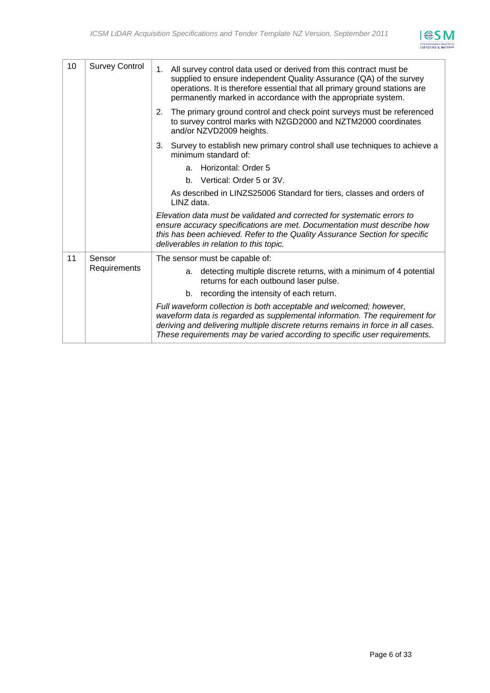

| 10 | <b>Survey Control</b> | 1. All survey control data used or derived from this contract must be<br>supplied to ensure independent Quality Assurance (QA) of the survey<br>operations. It is therefore essential that all primary ground stations are<br>permanently marked in accordance with the appropriate system.                       |
|----|-----------------------|-------------------------------------------------------------------------------------------------------------------------------------------------------------------------------------------------------------------------------------------------------------------------------------------------------------------|
|    |                       | The primary ground control and check point surveys must be referenced<br>2.<br>to survey control marks with NZGD2000 and NZTM2000 coordinates<br>and/or NZVD2009 heights.                                                                                                                                         |
|    |                       | Survey to establish new primary control shall use techniques to achieve a<br>3.<br>minimum standard of:                                                                                                                                                                                                           |
|    |                       | Horizontal: Order 5<br>a.                                                                                                                                                                                                                                                                                         |
|    |                       | b. Vertical: Order 5 or 3V.                                                                                                                                                                                                                                                                                       |
|    |                       | As described in LINZS25006 Standard for tiers, classes and orders of<br>LINZ data.                                                                                                                                                                                                                                |
|    |                       | Elevation data must be validated and corrected for systematic errors to<br>ensure accuracy specifications are met. Documentation must describe how<br>this has been achieved. Refer to the Quality Assurance Section for specific<br>deliverables in relation to this topic.                                      |
| 11 | Sensor                | The sensor must be capable of:                                                                                                                                                                                                                                                                                    |
|    | Requirements          | detecting multiple discrete returns, with a minimum of 4 potential<br>a.<br>returns for each outbound laser pulse.                                                                                                                                                                                                |
|    |                       | b. recording the intensity of each return.                                                                                                                                                                                                                                                                        |
|    |                       | Full waveform collection is both acceptable and welcomed; however,<br>waveform data is regarded as supplemental information. The requirement for<br>deriving and delivering multiple discrete returns remains in force in all cases.<br>These requirements may be varied according to specific user requirements. |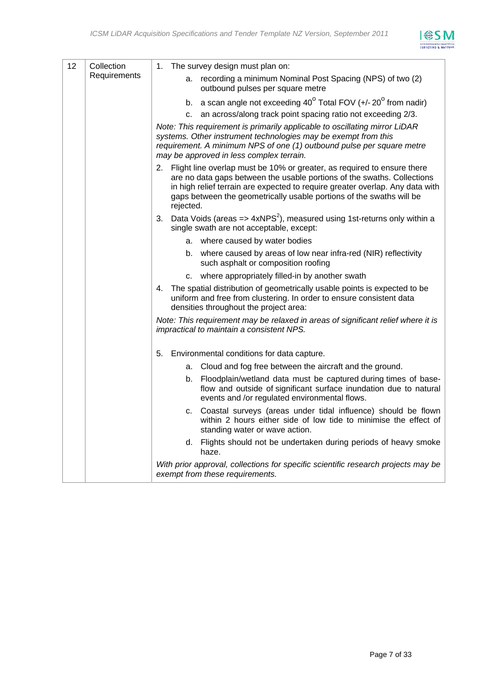

| 12 | Collection   | 1. The survey design must plan on:                                                                                                                                                                                                                                                                                          |
|----|--------------|-----------------------------------------------------------------------------------------------------------------------------------------------------------------------------------------------------------------------------------------------------------------------------------------------------------------------------|
|    | Requirements | a. recording a minimum Nominal Post Spacing (NPS) of two (2)<br>outbound pulses per square metre                                                                                                                                                                                                                            |
|    |              | b. a scan angle not exceeding $40^{\circ}$ Total FOV (+/-20 $^{\circ}$ from nadir)                                                                                                                                                                                                                                          |
|    |              | an across/along track point spacing ratio not exceeding 2/3.<br>$C_{\cdot}$                                                                                                                                                                                                                                                 |
|    |              | Note: This requirement is primarily applicable to oscillating mirror LiDAR<br>systems. Other instrument technologies may be exempt from this<br>requirement. A minimum NPS of one (1) outbound pulse per square metre<br>may be approved in less complex terrain.                                                           |
|    |              | 2. Flight line overlap must be 10% or greater, as required to ensure there<br>are no data gaps between the usable portions of the swaths. Collections<br>in high relief terrain are expected to require greater overlap. Any data with<br>gaps between the geometrically usable portions of the swaths will be<br>rejected. |
|    |              | 3. Data Voids (areas $\Rightarrow$ 4xNPS <sup>2</sup> ), measured using 1st-returns only within a<br>single swath are not acceptable, except:                                                                                                                                                                               |
|    |              | a. where caused by water bodies                                                                                                                                                                                                                                                                                             |
|    |              | b. where caused by areas of low near infra-red (NIR) reflectivity<br>such asphalt or composition roofing                                                                                                                                                                                                                    |
|    |              | c. where appropriately filled-in by another swath                                                                                                                                                                                                                                                                           |
|    |              | 4. The spatial distribution of geometrically usable points is expected to be<br>uniform and free from clustering. In order to ensure consistent data<br>densities throughout the project area:                                                                                                                              |
|    |              | Note: This requirement may be relaxed in areas of significant relief where it is<br>impractical to maintain a consistent NPS.                                                                                                                                                                                               |
|    |              | Environmental conditions for data capture.<br>5.                                                                                                                                                                                                                                                                            |
|    |              | a. Cloud and fog free between the aircraft and the ground.                                                                                                                                                                                                                                                                  |
|    |              | b. Floodplain/wetland data must be captured during times of base-<br>flow and outside of significant surface inundation due to natural<br>events and /or regulated environmental flows.                                                                                                                                     |
|    |              | c. Coastal surveys (areas under tidal influence) should be flown<br>within 2 hours either side of low tide to minimise the effect of<br>standing water or wave action.                                                                                                                                                      |
|    |              | d. Flights should not be undertaken during periods of heavy smoke<br>haze.                                                                                                                                                                                                                                                  |
|    |              | With prior approval, collections for specific scientific research projects may be<br>exempt from these requirements.                                                                                                                                                                                                        |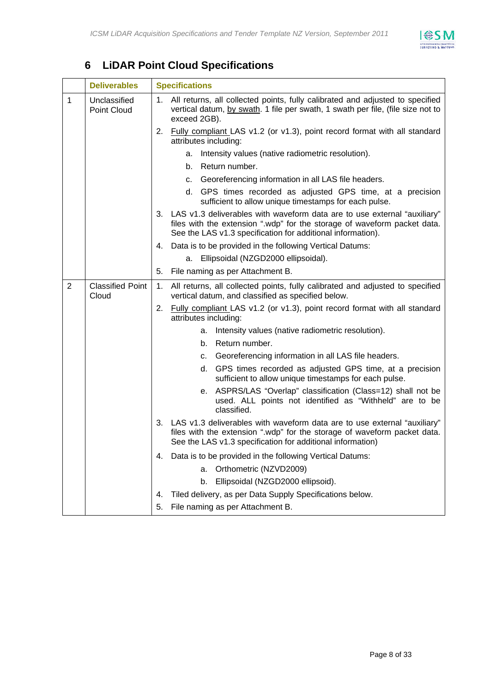

## **6 LiDAR Point Cloud Specifications**

|   | <b>Deliverables</b>              |    | <b>Specifications</b>                                                                                                                                                                                                  |  |  |
|---|----------------------------------|----|------------------------------------------------------------------------------------------------------------------------------------------------------------------------------------------------------------------------|--|--|
| 1 | Unclassified<br>Point Cloud      |    | 1. All returns, all collected points, fully calibrated and adjusted to specified<br>vertical datum, by swath. 1 file per swath, 1 swath per file, (file size not to<br>exceed 2GB).                                    |  |  |
|   |                                  |    | 2. Fully compliant LAS v1.2 (or v1.3), point record format with all standard<br>attributes including:                                                                                                                  |  |  |
|   |                                  |    | Intensity values (native radiometric resolution).<br>a.                                                                                                                                                                |  |  |
|   |                                  |    | Return number.<br>b.                                                                                                                                                                                                   |  |  |
|   |                                  |    | Georeferencing information in all LAS file headers.<br>C.                                                                                                                                                              |  |  |
|   |                                  |    | d. GPS times recorded as adjusted GPS time, at a precision<br>sufficient to allow unique timestamps for each pulse.                                                                                                    |  |  |
|   |                                  |    | 3. LAS v1.3 deliverables with waveform data are to use external "auxiliary"<br>files with the extension ".wdp" for the storage of waveform packet data.<br>See the LAS v1.3 specification for additional information). |  |  |
|   |                                  |    | 4. Data is to be provided in the following Vertical Datums:                                                                                                                                                            |  |  |
|   |                                  |    | Ellipsoidal (NZGD2000 ellipsoidal).<br>а.                                                                                                                                                                              |  |  |
|   |                                  | 5. | File naming as per Attachment B.                                                                                                                                                                                       |  |  |
| 2 | <b>Classified Point</b><br>Cloud | 1. | All returns, all collected points, fully calibrated and adjusted to specified<br>vertical datum, and classified as specified below.                                                                                    |  |  |
|   |                                  |    | 2. Fully compliant LAS v1.2 (or v1.3), point record format with all standard<br>attributes including:                                                                                                                  |  |  |
|   |                                  |    | Intensity values (native radiometric resolution).<br>а.                                                                                                                                                                |  |  |
|   |                                  |    | Return number.<br>b.                                                                                                                                                                                                   |  |  |
|   |                                  |    | Georeferencing information in all LAS file headers.<br>C.                                                                                                                                                              |  |  |
|   |                                  |    | d. GPS times recorded as adjusted GPS time, at a precision<br>sufficient to allow unique timestamps for each pulse.                                                                                                    |  |  |
|   |                                  |    | e. ASPRS/LAS "Overlap" classification (Class=12) shall not be<br>used. ALL points not identified as "Withheld" are to be<br>classified.                                                                                |  |  |
|   |                                  |    | 3. LAS v1.3 deliverables with waveform data are to use external "auxiliary"<br>files with the extension ".wdp" for the storage of waveform packet data.<br>See the LAS v1.3 specification for additional information)  |  |  |
|   |                                  | 4. | Data is to be provided in the following Vertical Datums:                                                                                                                                                               |  |  |
|   |                                  |    | Orthometric (NZVD2009)<br>a.                                                                                                                                                                                           |  |  |
|   |                                  |    | Ellipsoidal (NZGD2000 ellipsoid).<br>b.                                                                                                                                                                                |  |  |
|   |                                  | 4. | Tiled delivery, as per Data Supply Specifications below.                                                                                                                                                               |  |  |
|   |                                  | 5. | File naming as per Attachment B.                                                                                                                                                                                       |  |  |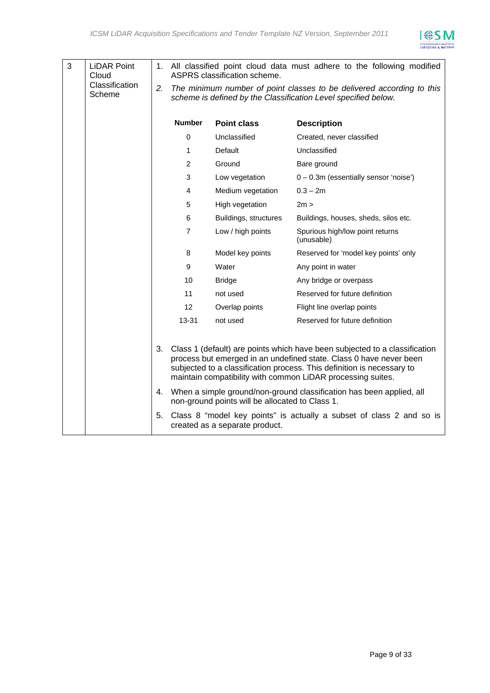

| 3 | <b>LiDAR Point</b><br>Cloud |    |                | ASPRS classification scheme.                    | 1. All classified point cloud data must adhere to the following modified                                                                                                                                                                                                                  |
|---|-----------------------------|----|----------------|-------------------------------------------------|-------------------------------------------------------------------------------------------------------------------------------------------------------------------------------------------------------------------------------------------------------------------------------------------|
|   | Classification<br>Scheme    | 2. |                |                                                 | The minimum number of point classes to be delivered according to this<br>scheme is defined by the Classification Level specified below.                                                                                                                                                   |
|   |                             |    | <b>Number</b>  | <b>Point class</b>                              | <b>Description</b>                                                                                                                                                                                                                                                                        |
|   |                             |    | 0              | Unclassified                                    | Created, never classified                                                                                                                                                                                                                                                                 |
|   |                             |    | 1              | Default                                         | Unclassified                                                                                                                                                                                                                                                                              |
|   |                             |    | $\overline{2}$ | Ground                                          | Bare ground                                                                                                                                                                                                                                                                               |
|   |                             |    | 3              | Low vegetation                                  | $0 - 0.3$ m (essentially sensor 'noise')                                                                                                                                                                                                                                                  |
|   |                             |    | 4              | Medium vegetation                               | $0.3 - 2m$                                                                                                                                                                                                                                                                                |
|   |                             |    | 5              | High vegetation                                 | 2m >                                                                                                                                                                                                                                                                                      |
|   |                             |    | 6              | Buildings, structures                           | Buildings, houses, sheds, silos etc.                                                                                                                                                                                                                                                      |
|   |                             |    | $\overline{7}$ | Low / high points                               | Spurious high/low point returns<br>(unusable)                                                                                                                                                                                                                                             |
|   |                             |    | 8              | Model key points                                | Reserved for 'model key points' only                                                                                                                                                                                                                                                      |
|   |                             |    | 9              | Water                                           | Any point in water                                                                                                                                                                                                                                                                        |
|   |                             |    | 10             | <b>Bridge</b>                                   | Any bridge or overpass                                                                                                                                                                                                                                                                    |
|   |                             |    | 11             | not used                                        | Reserved for future definition                                                                                                                                                                                                                                                            |
|   |                             |    | 12             | Overlap points                                  | Flight line overlap points                                                                                                                                                                                                                                                                |
|   |                             |    | $13 - 31$      | not used                                        | Reserved for future definition                                                                                                                                                                                                                                                            |
|   |                             |    |                |                                                 |                                                                                                                                                                                                                                                                                           |
|   |                             | 3. |                |                                                 | Class 1 (default) are points which have been subjected to a classification<br>process but emerged in an undefined state. Class 0 have never been<br>subjected to a classification process. This definition is necessary to<br>maintain compatibility with common LiDAR processing suites. |
|   |                             |    |                | non-ground points will be allocated to Class 1. | 4. When a simple ground/non-ground classification has been applied, all                                                                                                                                                                                                                   |
|   |                             | 5. |                | created as a separate product.                  | Class 8 "model key points" is actually a subset of class 2 and so is                                                                                                                                                                                                                      |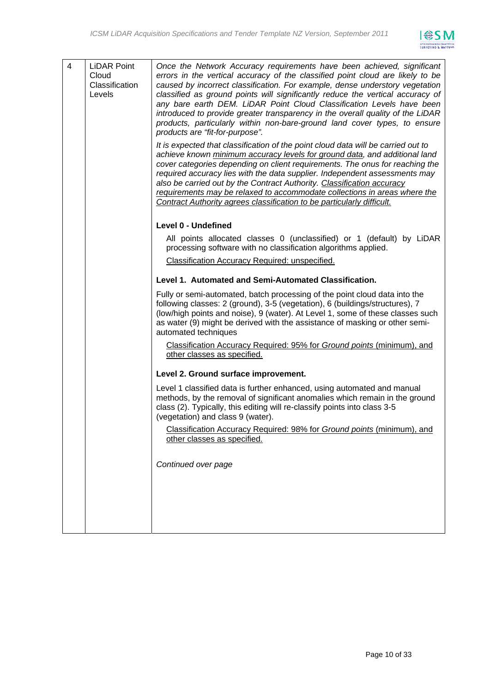

| 4 | <b>LiDAR Point</b><br>Cloud<br>Classification<br>Levels | Once the Network Accuracy requirements have been achieved, significant<br>errors in the vertical accuracy of the classified point cloud are likely to be<br>caused by incorrect classification. For example, dense understory vegetation<br>classified as ground points will significantly reduce the vertical accuracy of<br>any bare earth DEM. LiDAR Point Cloud Classification Levels have been<br>introduced to provide greater transparency in the overall quality of the LiDAR<br>products, particularly within non-bare-ground land cover types, to ensure<br>products are "fit-for-purpose".<br>It is expected that classification of the point cloud data will be carried out to<br>achieve known minimum accuracy levels for ground data, and additional land<br>cover categories depending on client requirements. The onus for reaching the<br>required accuracy lies with the data supplier. Independent assessments may<br>also be carried out by the Contract Authority. Classification accuracy<br>requirements may be relaxed to accommodate collections in areas where the<br>Contract Authority agrees classification to be particularly difficult.<br>Level 0 - Undefined<br>All points allocated classes 0 (unclassified) or 1 (default) by LiDAR<br>processing software with no classification algorithms applied.<br>Classification Accuracy Required: unspecified.<br>Level 1. Automated and Semi-Automated Classification.<br>Fully or semi-automated, batch processing of the point cloud data into the<br>following classes: 2 (ground), 3-5 (vegetation), 6 (buildings/structures), 7<br>(low/high points and noise), 9 (water). At Level 1, some of these classes such<br>as water (9) might be derived with the assistance of masking or other semi-<br>automated techniques<br>Classification Accuracy Required: 95% for Ground points (minimum), and<br>other classes as specified. |
|---|---------------------------------------------------------|----------------------------------------------------------------------------------------------------------------------------------------------------------------------------------------------------------------------------------------------------------------------------------------------------------------------------------------------------------------------------------------------------------------------------------------------------------------------------------------------------------------------------------------------------------------------------------------------------------------------------------------------------------------------------------------------------------------------------------------------------------------------------------------------------------------------------------------------------------------------------------------------------------------------------------------------------------------------------------------------------------------------------------------------------------------------------------------------------------------------------------------------------------------------------------------------------------------------------------------------------------------------------------------------------------------------------------------------------------------------------------------------------------------------------------------------------------------------------------------------------------------------------------------------------------------------------------------------------------------------------------------------------------------------------------------------------------------------------------------------------------------------------------------------------------------------------------------------------------------------------------------------------------------------|
|   |                                                         | Level 2. Ground surface improvement.<br>Level 1 classified data is further enhanced, using automated and manual                                                                                                                                                                                                                                                                                                                                                                                                                                                                                                                                                                                                                                                                                                                                                                                                                                                                                                                                                                                                                                                                                                                                                                                                                                                                                                                                                                                                                                                                                                                                                                                                                                                                                                                                                                                                      |
|   |                                                         | methods, by the removal of significant anomalies which remain in the ground<br>class (2). Typically, this editing will re-classify points into class 3-5<br>(vegetation) and class 9 (water).                                                                                                                                                                                                                                                                                                                                                                                                                                                                                                                                                                                                                                                                                                                                                                                                                                                                                                                                                                                                                                                                                                                                                                                                                                                                                                                                                                                                                                                                                                                                                                                                                                                                                                                        |
|   |                                                         | Classification Accuracy Required: 98% for Ground points (minimum), and<br>other classes as specified.                                                                                                                                                                                                                                                                                                                                                                                                                                                                                                                                                                                                                                                                                                                                                                                                                                                                                                                                                                                                                                                                                                                                                                                                                                                                                                                                                                                                                                                                                                                                                                                                                                                                                                                                                                                                                |
|   |                                                         | Continued over page                                                                                                                                                                                                                                                                                                                                                                                                                                                                                                                                                                                                                                                                                                                                                                                                                                                                                                                                                                                                                                                                                                                                                                                                                                                                                                                                                                                                                                                                                                                                                                                                                                                                                                                                                                                                                                                                                                  |
|   |                                                         |                                                                                                                                                                                                                                                                                                                                                                                                                                                                                                                                                                                                                                                                                                                                                                                                                                                                                                                                                                                                                                                                                                                                                                                                                                                                                                                                                                                                                                                                                                                                                                                                                                                                                                                                                                                                                                                                                                                      |
|   |                                                         |                                                                                                                                                                                                                                                                                                                                                                                                                                                                                                                                                                                                                                                                                                                                                                                                                                                                                                                                                                                                                                                                                                                                                                                                                                                                                                                                                                                                                                                                                                                                                                                                                                                                                                                                                                                                                                                                                                                      |
|   |                                                         |                                                                                                                                                                                                                                                                                                                                                                                                                                                                                                                                                                                                                                                                                                                                                                                                                                                                                                                                                                                                                                                                                                                                                                                                                                                                                                                                                                                                                                                                                                                                                                                                                                                                                                                                                                                                                                                                                                                      |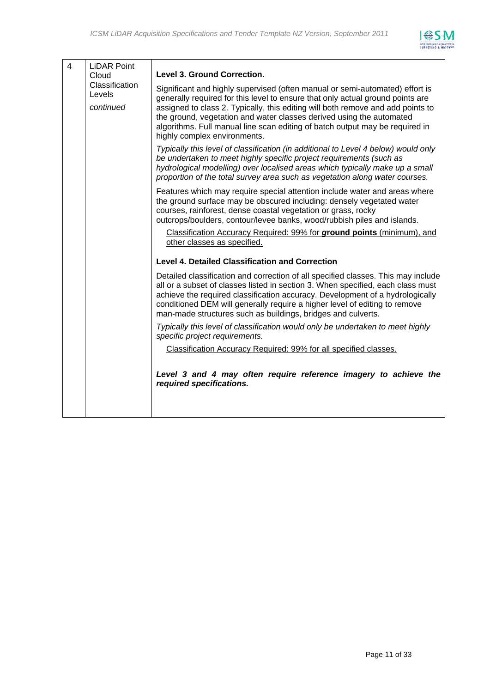

| $\overline{4}$ | <b>LiDAR Point</b>                    |                                                                                                                                                                                                                                                                                                                                                                                                                                           |
|----------------|---------------------------------------|-------------------------------------------------------------------------------------------------------------------------------------------------------------------------------------------------------------------------------------------------------------------------------------------------------------------------------------------------------------------------------------------------------------------------------------------|
|                | Cloud                                 | Level 3. Ground Correction.                                                                                                                                                                                                                                                                                                                                                                                                               |
|                | Classification<br>Levels<br>continued | Significant and highly supervised (often manual or semi-automated) effort is<br>generally required for this level to ensure that only actual ground points are<br>assigned to class 2. Typically, this editing will both remove and add points to<br>the ground, vegetation and water classes derived using the automated<br>algorithms. Full manual line scan editing of batch output may be required in<br>highly complex environments. |
|                |                                       | Typically this level of classification (in additional to Level 4 below) would only<br>be undertaken to meet highly specific project requirements (such as<br>hydrological modelling) over localised areas which typically make up a small<br>proportion of the total survey area such as vegetation along water courses.                                                                                                                  |
|                |                                       | Features which may require special attention include water and areas where<br>the ground surface may be obscured including: densely vegetated water<br>courses, rainforest, dense coastal vegetation or grass, rocky<br>outcrops/boulders, contour/levee banks, wood/rubbish piles and islands.                                                                                                                                           |
|                |                                       | Classification Accuracy Required: 99% for ground points (minimum), and<br>other classes as specified.                                                                                                                                                                                                                                                                                                                                     |
|                |                                       | <b>Level 4. Detailed Classification and Correction</b>                                                                                                                                                                                                                                                                                                                                                                                    |
|                |                                       | Detailed classification and correction of all specified classes. This may include<br>all or a subset of classes listed in section 3. When specified, each class must<br>achieve the required classification accuracy. Development of a hydrologically<br>conditioned DEM will generally require a higher level of editing to remove<br>man-made structures such as buildings, bridges and culverts.                                       |
|                |                                       | Typically this level of classification would only be undertaken to meet highly<br>specific project requirements.                                                                                                                                                                                                                                                                                                                          |
|                |                                       | Classification Accuracy Required: 99% for all specified classes.                                                                                                                                                                                                                                                                                                                                                                          |
|                |                                       | Level 3 and 4 may often require reference imagery to achieve the<br>required specifications.                                                                                                                                                                                                                                                                                                                                              |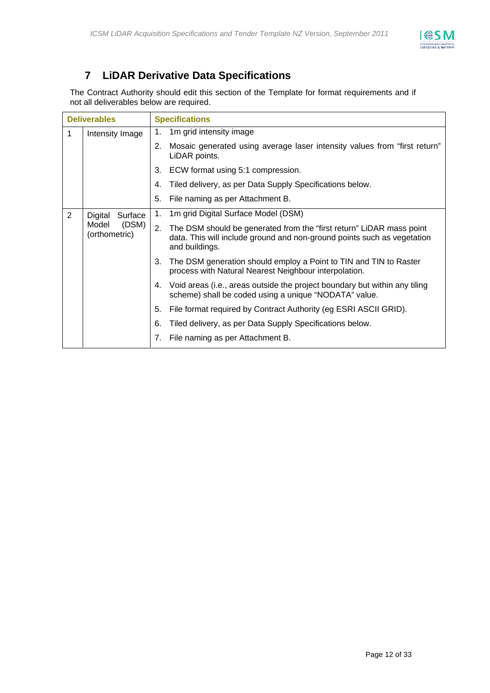

## **7 LiDAR Derivative Data Specifications**

The Contract Authority should edit this section of the Template for format requirements and if not all deliverables below are required.

| <b>Deliverables</b> |                                 | <b>Specifications</b>                                                                                                                                                   |  |  |
|---------------------|---------------------------------|-------------------------------------------------------------------------------------------------------------------------------------------------------------------------|--|--|
| 1                   | Intensity Image                 | 1m grid intensity image<br>1.                                                                                                                                           |  |  |
|                     |                                 | 2.<br>Mosaic generated using average laser intensity values from "first return"<br>LiDAR points.                                                                        |  |  |
|                     |                                 | 3.<br>ECW format using 5:1 compression.                                                                                                                                 |  |  |
|                     |                                 | Tiled delivery, as per Data Supply Specifications below.<br>4.                                                                                                          |  |  |
|                     |                                 | 5.<br>File naming as per Attachment B.                                                                                                                                  |  |  |
| 2                   | Digital<br>Surface              | 1m grid Digital Surface Model (DSM)<br>1.                                                                                                                               |  |  |
|                     | Model<br>(DSM)<br>(orthometric) | 2.<br>The DSM should be generated from the "first return" LiDAR mass point<br>data. This will include ground and non-ground points such as vegetation<br>and buildings. |  |  |
|                     |                                 | 3.<br>The DSM generation should employ a Point to TIN and TIN to Raster<br>process with Natural Nearest Neighbour interpolation.                                        |  |  |
|                     |                                 | Void areas (i.e., areas outside the project boundary but within any tiling<br>4.<br>scheme) shall be coded using a unique "NODATA" value.                               |  |  |
|                     |                                 | 5.<br>File format required by Contract Authority (eg ESRI ASCII GRID).                                                                                                  |  |  |
|                     |                                 | 6.<br>Tiled delivery, as per Data Supply Specifications below.                                                                                                          |  |  |
|                     |                                 | File naming as per Attachment B.<br>7.                                                                                                                                  |  |  |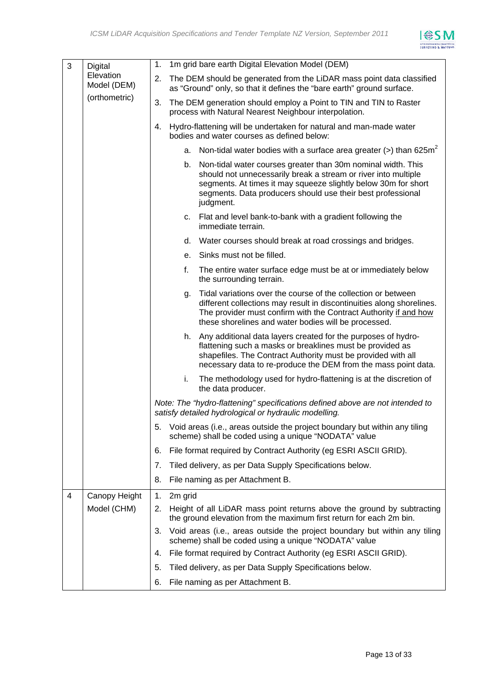

| 3 | Digital                  | 1m grid bare earth Digital Elevation Model (DEM)<br>1.                                                                                                                                                                                                                             |
|---|--------------------------|------------------------------------------------------------------------------------------------------------------------------------------------------------------------------------------------------------------------------------------------------------------------------------|
|   | Elevation<br>Model (DEM) | The DEM should be generated from the LiDAR mass point data classified<br>2.<br>as "Ground" only, so that it defines the "bare earth" ground surface.                                                                                                                               |
|   | (orthometric)            | The DEM generation should employ a Point to TIN and TIN to Raster<br>3.<br>process with Natural Nearest Neighbour interpolation.                                                                                                                                                   |
|   |                          | Hydro-flattening will be undertaken for natural and man-made water<br>4.<br>bodies and water courses as defined below:                                                                                                                                                             |
|   |                          | Non-tidal water bodies with a surface area greater (>) than $625m^2$<br>a.                                                                                                                                                                                                         |
|   |                          | b.<br>Non-tidal water courses greater than 30m nominal width. This<br>should not unnecessarily break a stream or river into multiple<br>segments. At times it may squeeze slightly below 30m for short<br>segments. Data producers should use their best professional<br>judgment. |
|   |                          | c. Flat and level bank-to-bank with a gradient following the<br>immediate terrain.                                                                                                                                                                                                 |
|   |                          | d. Water courses should break at road crossings and bridges.                                                                                                                                                                                                                       |
|   |                          | Sinks must not be filled.<br>е.                                                                                                                                                                                                                                                    |
|   |                          | f.<br>The entire water surface edge must be at or immediately below<br>the surrounding terrain.                                                                                                                                                                                    |
|   |                          | Tidal variations over the course of the collection or between<br>g.<br>different collections may result in discontinuities along shorelines.<br>The provider must confirm with the Contract Authority if and how<br>these shorelines and water bodies will be processed.           |
|   |                          | Any additional data layers created for the purposes of hydro-<br>h.<br>flattening such a masks or breaklines must be provided as<br>shapefiles. The Contract Authority must be provided with all<br>necessary data to re-produce the DEM from the mass point data.                 |
|   |                          | The methodology used for hydro-flattening is at the discretion of<br>i.<br>the data producer.                                                                                                                                                                                      |
|   |                          | Note: The "hydro-flattening" specifications defined above are not intended to<br>satisfy detailed hydrological or hydraulic modelling.                                                                                                                                             |
|   |                          | 5.<br>Void areas (i.e., areas outside the project boundary but within any tiling<br>scheme) shall be coded using a unique "NODATA" value                                                                                                                                           |
|   |                          | File format required by Contract Authority (eg ESRI ASCII GRID).<br>6.                                                                                                                                                                                                             |
|   |                          | Tiled delivery, as per Data Supply Specifications below.<br>7.                                                                                                                                                                                                                     |
|   |                          | File naming as per Attachment B.<br>8.                                                                                                                                                                                                                                             |
| 4 | Canopy Height            | 2m grid<br>1.                                                                                                                                                                                                                                                                      |
|   | Model (CHM)              | Height of all LiDAR mass point returns above the ground by subtracting<br>2.<br>the ground elevation from the maximum first return for each 2m bin.                                                                                                                                |
|   |                          | Void areas (i.e., areas outside the project boundary but within any tiling<br>3.<br>scheme) shall be coded using a unique "NODATA" value                                                                                                                                           |
|   |                          | File format required by Contract Authority (eg ESRI ASCII GRID).<br>4.                                                                                                                                                                                                             |
|   |                          | Tiled delivery, as per Data Supply Specifications below.<br>5.                                                                                                                                                                                                                     |
|   |                          | 6.<br>File naming as per Attachment B.                                                                                                                                                                                                                                             |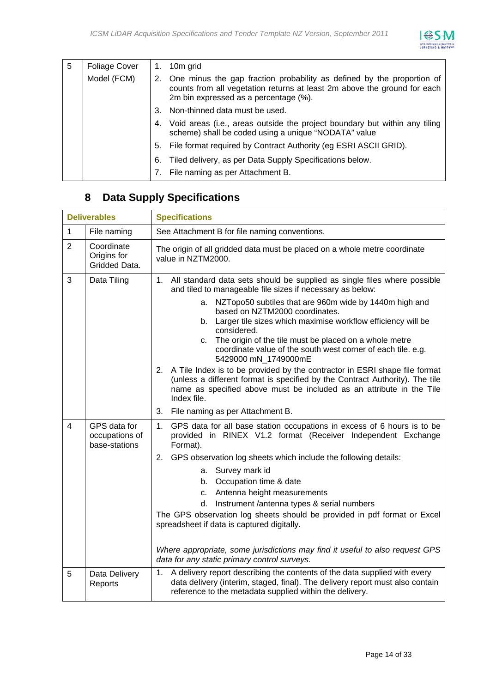

| 5 | <b>Foliage Cover</b> | 1. | 10m grid                                                                                                                                                                                    |
|---|----------------------|----|---------------------------------------------------------------------------------------------------------------------------------------------------------------------------------------------|
|   | Model (FCM)          | 2. | One minus the gap fraction probability as defined by the proportion of<br>counts from all vegetation returns at least 2m above the ground for each<br>2m bin expressed as a percentage (%). |
|   |                      | 3. | Non-thinned data must be used.                                                                                                                                                              |
|   |                      | 4. | Void areas (i.e., areas outside the project boundary but within any tiling<br>scheme) shall be coded using a unique "NODATA" value                                                          |
|   |                      | 5. | File format required by Contract Authority (eg ESRI ASCII GRID).                                                                                                                            |
|   |                      | 6. | Tiled delivery, as per Data Supply Specifications below.                                                                                                                                    |
|   |                      |    | File naming as per Attachment B.                                                                                                                                                            |

## **8 Data Supply Specifications**

| <b>Deliverables</b> |                                                 | <b>Specifications</b>                                                                                                                                                                                                                                                                                                                                                                                                                                                                                                                                                                                                                                                                                                                        |  |  |
|---------------------|-------------------------------------------------|----------------------------------------------------------------------------------------------------------------------------------------------------------------------------------------------------------------------------------------------------------------------------------------------------------------------------------------------------------------------------------------------------------------------------------------------------------------------------------------------------------------------------------------------------------------------------------------------------------------------------------------------------------------------------------------------------------------------------------------------|--|--|
| $\mathbf{1}$        | File naming                                     | See Attachment B for file naming conventions.                                                                                                                                                                                                                                                                                                                                                                                                                                                                                                                                                                                                                                                                                                |  |  |
| $\overline{2}$      | Coordinate<br>Origins for<br>Gridded Data.      | The origin of all gridded data must be placed on a whole metre coordinate<br>value in NZTM2000.                                                                                                                                                                                                                                                                                                                                                                                                                                                                                                                                                                                                                                              |  |  |
| 3                   | Data Tiling                                     | 1. All standard data sets should be supplied as single files where possible<br>and tiled to manageable file sizes if necessary as below:<br>NZTopo50 subtiles that are 960m wide by 1440m high and<br>a.<br>based on NZTM2000 coordinates.<br>b. Larger tile sizes which maximise workflow efficiency will be<br>considered.<br>The origin of the tile must be placed on a whole metre<br>C.<br>coordinate value of the south west corner of each tile. e.g.<br>5429000 mN_1749000mE<br>2. A Tile Index is to be provided by the contractor in ESRI shape file format<br>(unless a different format is specified by the Contract Authority). The tile<br>name as specified above must be included as an attribute in the Tile<br>Index file. |  |  |
|                     |                                                 | 3. File naming as per Attachment B.                                                                                                                                                                                                                                                                                                                                                                                                                                                                                                                                                                                                                                                                                                          |  |  |
| 4                   | GPS data for<br>occupations of<br>base-stations | 1.<br>GPS data for all base station occupations in excess of 6 hours is to be<br>provided in RINEX V1.2 format (Receiver Independent Exchange<br>Format).<br>2. GPS observation log sheets which include the following details:<br>a. Survey mark id<br>Occupation time & date<br>b.<br>Antenna height measurements<br>C.<br>Instrument /antenna types & serial numbers<br>d.<br>The GPS observation log sheets should be provided in pdf format or Excel<br>spreadsheet if data is captured digitally.<br>Where appropriate, some jurisdictions may find it useful to also request GPS<br>data for any static primary control surveys.                                                                                                      |  |  |
| 5                   | Data Delivery<br>Reports                        | A delivery report describing the contents of the data supplied with every<br>1.<br>data delivery (interim, staged, final). The delivery report must also contain<br>reference to the metadata supplied within the delivery.                                                                                                                                                                                                                                                                                                                                                                                                                                                                                                                  |  |  |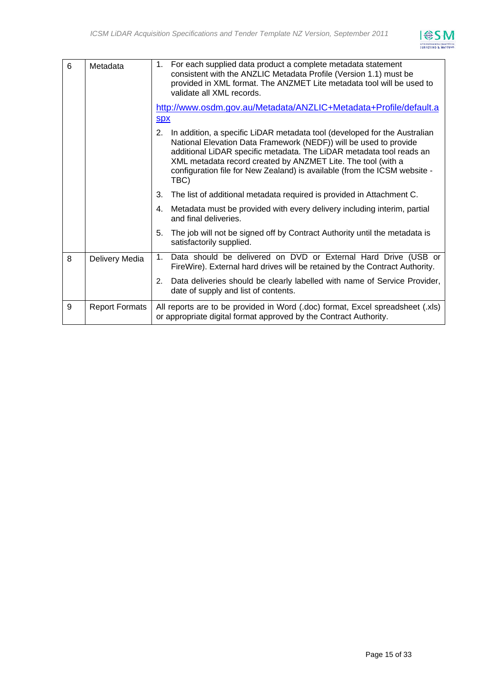

| 6 | Metadata              | 1. For each supplied data product a complete metadata statement<br>consistent with the ANZLIC Metadata Profile (Version 1.1) must be<br>provided in XML format. The ANZMET Lite metadata tool will be used to<br>validate all XML records.                                                                                                                                        |  |
|---|-----------------------|-----------------------------------------------------------------------------------------------------------------------------------------------------------------------------------------------------------------------------------------------------------------------------------------------------------------------------------------------------------------------------------|--|
|   |                       | http://www.osdm.gov.au/Metadata/ANZLIC+Metadata+Profile/default.a                                                                                                                                                                                                                                                                                                                 |  |
|   |                       | <b>SDX</b>                                                                                                                                                                                                                                                                                                                                                                        |  |
|   |                       | In addition, a specific LiDAR metadata tool (developed for the Australian<br>2.<br>National Elevation Data Framework (NEDF)) will be used to provide<br>additional LiDAR specific metadata. The LiDAR metadata tool reads an<br>XML metadata record created by ANZMET Lite. The tool (with a<br>configuration file for New Zealand) is available (from the ICSM website -<br>TBC) |  |
|   |                       | The list of additional metadata required is provided in Attachment C.<br>3.                                                                                                                                                                                                                                                                                                       |  |
|   |                       | Metadata must be provided with every delivery including interim, partial<br>4.<br>and final deliveries.                                                                                                                                                                                                                                                                           |  |
|   |                       | The job will not be signed off by Contract Authority until the metadata is<br>5.<br>satisfactorily supplied.                                                                                                                                                                                                                                                                      |  |
| 8 | Delivery Media        | 1. Data should be delivered on DVD or External Hard Drive (USB or<br>FireWire). External hard drives will be retained by the Contract Authority.                                                                                                                                                                                                                                  |  |
|   |                       | Data deliveries should be clearly labelled with name of Service Provider,<br>2.<br>date of supply and list of contents.                                                                                                                                                                                                                                                           |  |
| 9 | <b>Report Formats</b> | All reports are to be provided in Word (.doc) format, Excel spreadsheet (.xls)<br>or appropriate digital format approved by the Contract Authority.                                                                                                                                                                                                                               |  |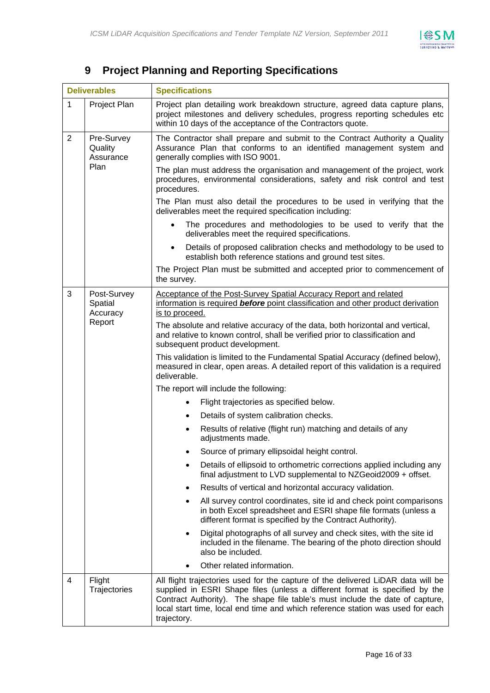

## **9 Project Planning and Reporting Specifications**

| <b>Deliverables</b>                                          |                                              | <b>Specifications</b>                                                                                                                                                                                                                                                                                                                               |  |  |
|--------------------------------------------------------------|----------------------------------------------|-----------------------------------------------------------------------------------------------------------------------------------------------------------------------------------------------------------------------------------------------------------------------------------------------------------------------------------------------------|--|--|
| $\mathbf{1}$                                                 | Project Plan                                 | Project plan detailing work breakdown structure, agreed data capture plans,<br>project milestones and delivery schedules, progress reporting schedules etc<br>within 10 days of the acceptance of the Contractors quote.                                                                                                                            |  |  |
| $\overline{2}$<br>Pre-Survey<br>Quality<br>Assurance<br>Plan |                                              | The Contractor shall prepare and submit to the Contract Authority a Quality<br>Assurance Plan that conforms to an identified management system and<br>generally complies with ISO 9001.<br>The plan must address the organisation and management of the project, work<br>procedures, environmental considerations, safety and risk control and test |  |  |
|                                                              |                                              | procedures.<br>The Plan must also detail the procedures to be used in verifying that the<br>deliverables meet the required specification including:                                                                                                                                                                                                 |  |  |
|                                                              |                                              | The procedures and methodologies to be used to verify that the<br>$\bullet$<br>deliverables meet the required specifications.                                                                                                                                                                                                                       |  |  |
|                                                              |                                              | Details of proposed calibration checks and methodology to be used to<br>$\bullet$<br>establish both reference stations and ground test sites.                                                                                                                                                                                                       |  |  |
|                                                              |                                              | The Project Plan must be submitted and accepted prior to commencement of<br>the survey.                                                                                                                                                                                                                                                             |  |  |
| 3                                                            | Post-Survey<br>Spatial<br>Accuracy<br>Report | Acceptance of the Post-Survey Spatial Accuracy Report and related<br>information is required before point classification and other product derivation<br>is to proceed.<br>The absolute and relative accuracy of the data, both horizontal and vertical,<br>and relative to known control, shall be verified prior to classification and            |  |  |
|                                                              |                                              | subsequent product development.<br>This validation is limited to the Fundamental Spatial Accuracy (defined below),<br>measured in clear, open areas. A detailed report of this validation is a required<br>deliverable.                                                                                                                             |  |  |
|                                                              |                                              | The report will include the following:                                                                                                                                                                                                                                                                                                              |  |  |
|                                                              |                                              | Flight trajectories as specified below.                                                                                                                                                                                                                                                                                                             |  |  |
|                                                              |                                              | Details of system calibration checks.                                                                                                                                                                                                                                                                                                               |  |  |
|                                                              |                                              | Results of relative (flight run) matching and details of any<br>adjustments made.                                                                                                                                                                                                                                                                   |  |  |
|                                                              |                                              | Source of primary ellipsoidal height control.                                                                                                                                                                                                                                                                                                       |  |  |
|                                                              |                                              | Details of ellipsoid to orthometric corrections applied including any<br>final adjustment to LVD supplemental to NZGeoid2009 + offset.                                                                                                                                                                                                              |  |  |
|                                                              |                                              | Results of vertical and horizontal accuracy validation.                                                                                                                                                                                                                                                                                             |  |  |
|                                                              |                                              | All survey control coordinates, site id and check point comparisons<br>in both Excel spreadsheet and ESRI shape file formats (unless a<br>different format is specified by the Contract Authority).                                                                                                                                                 |  |  |
|                                                              |                                              | Digital photographs of all survey and check sites, with the site id<br>included in the filename. The bearing of the photo direction should<br>also be included.                                                                                                                                                                                     |  |  |
|                                                              |                                              | Other related information.                                                                                                                                                                                                                                                                                                                          |  |  |
| 4                                                            | Flight<br>Trajectories                       | All flight trajectories used for the capture of the delivered LiDAR data will be<br>supplied in ESRI Shape files (unless a different format is specified by the<br>Contract Authority). The shape file table's must include the date of capture,<br>local start time, local end time and which reference station was used for each<br>trajectory.   |  |  |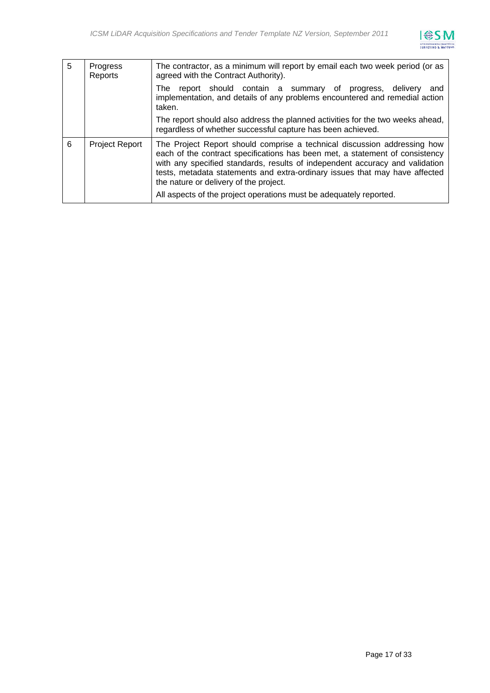

| 5 | Progress<br>Reports   | The contractor, as a minimum will report by email each two week period (or as<br>agreed with the Contract Authority).                                                                                                                                                                                                                                             |
|---|-----------------------|-------------------------------------------------------------------------------------------------------------------------------------------------------------------------------------------------------------------------------------------------------------------------------------------------------------------------------------------------------------------|
|   |                       | report should contain a summary of progress, delivery<br>The<br>and<br>implementation, and details of any problems encountered and remedial action<br>taken.                                                                                                                                                                                                      |
|   |                       | The report should also address the planned activities for the two weeks ahead,<br>regardless of whether successful capture has been achieved.                                                                                                                                                                                                                     |
| 6 | <b>Project Report</b> | The Project Report should comprise a technical discussion addressing how<br>each of the contract specifications has been met, a statement of consistency<br>with any specified standards, results of independent accuracy and validation<br>tests, metadata statements and extra-ordinary issues that may have affected<br>the nature or delivery of the project. |
|   |                       | All aspects of the project operations must be adequately reported.                                                                                                                                                                                                                                                                                                |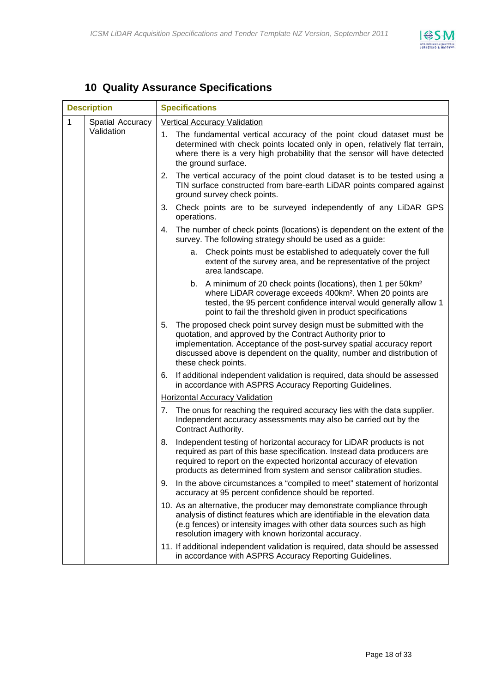

## **10 Quality Assurance Specifications**

| <b>Description</b> |                  | <b>Specifications</b>                                                                                                                                                                                                                                                                                            |  |  |
|--------------------|------------------|------------------------------------------------------------------------------------------------------------------------------------------------------------------------------------------------------------------------------------------------------------------------------------------------------------------|--|--|
| 1                  | Spatial Accuracy | <b>Vertical Accuracy Validation</b>                                                                                                                                                                                                                                                                              |  |  |
|                    | Validation       | The fundamental vertical accuracy of the point cloud dataset must be<br>1.<br>determined with check points located only in open, relatively flat terrain,<br>where there is a very high probability that the sensor will have detected<br>the ground surface.                                                    |  |  |
|                    |                  | The vertical accuracy of the point cloud dataset is to be tested using a<br>2.<br>TIN surface constructed from bare-earth LiDAR points compared against<br>ground survey check points.                                                                                                                           |  |  |
|                    |                  | Check points are to be surveyed independently of any LiDAR GPS<br>3.<br>operations.                                                                                                                                                                                                                              |  |  |
|                    |                  | The number of check points (locations) is dependent on the extent of the<br>4.<br>survey. The following strategy should be used as a guide:                                                                                                                                                                      |  |  |
|                    |                  | Check points must be established to adequately cover the full<br>a.<br>extent of the survey area, and be representative of the project<br>area landscape.                                                                                                                                                        |  |  |
|                    |                  | b. A minimum of 20 check points (locations), then 1 per 50km <sup>2</sup><br>where LiDAR coverage exceeds 400km <sup>2</sup> . When 20 points are<br>tested, the 95 percent confidence interval would generally allow 1<br>point to fail the threshold given in product specifications                           |  |  |
|                    |                  | The proposed check point survey design must be submitted with the<br>5.<br>quotation, and approved by the Contract Authority prior to<br>implementation. Acceptance of the post-survey spatial accuracy report<br>discussed above is dependent on the quality, number and distribution of<br>these check points. |  |  |
|                    |                  | If additional independent validation is required, data should be assessed<br>6.<br>in accordance with ASPRS Accuracy Reporting Guidelines.                                                                                                                                                                       |  |  |
|                    |                  | Horizontal Accuracy Validation                                                                                                                                                                                                                                                                                   |  |  |
|                    |                  | The onus for reaching the required accuracy lies with the data supplier.<br>7.<br>Independent accuracy assessments may also be carried out by the<br>Contract Authority.                                                                                                                                         |  |  |
|                    |                  | Independent testing of horizontal accuracy for LiDAR products is not<br>8.<br>required as part of this base specification. Instead data producers are<br>required to report on the expected horizontal accuracy of elevation<br>products as determined from system and sensor calibration studies.               |  |  |
|                    |                  | In the above circumstances a "compiled to meet" statement of horizontal<br>9.<br>accuracy at 95 percent confidence should be reported.                                                                                                                                                                           |  |  |
|                    |                  | 10. As an alternative, the producer may demonstrate compliance through<br>analysis of distinct features which are identifiable in the elevation data<br>(e.g fences) or intensity images with other data sources such as high<br>resolution imagery with known horizontal accuracy.                              |  |  |
|                    |                  | 11. If additional independent validation is required, data should be assessed<br>in accordance with ASPRS Accuracy Reporting Guidelines.                                                                                                                                                                         |  |  |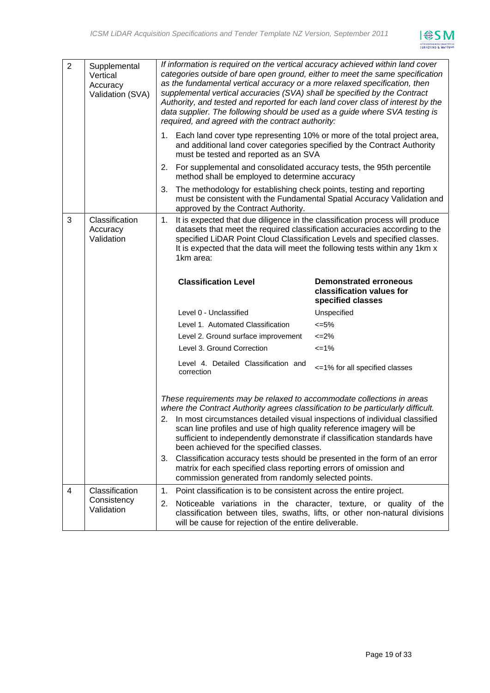

| $\overline{2}$ | Supplemental<br>Vertical<br>Accuracy<br>Validation (SVA) | If information is required on the vertical accuracy achieved within land cover<br>categories outside of bare open ground, either to meet the same specification<br>as the fundamental vertical accuracy or a more relaxed specification, then<br>supplemental vertical accuracies (SVA) shall be specified by the Contract<br>Authority, and tested and reported for each land cover class of interest by the<br>data supplier. The following should be used as a guide where SVA testing is<br>required, and agreed with the contract authority:                                                                                                        |                                                                                 |  |
|----------------|----------------------------------------------------------|----------------------------------------------------------------------------------------------------------------------------------------------------------------------------------------------------------------------------------------------------------------------------------------------------------------------------------------------------------------------------------------------------------------------------------------------------------------------------------------------------------------------------------------------------------------------------------------------------------------------------------------------------------|---------------------------------------------------------------------------------|--|
|                |                                                          | 1. Each land cover type representing 10% or more of the total project area,<br>and additional land cover categories specified by the Contract Authority<br>must be tested and reported as an SVA                                                                                                                                                                                                                                                                                                                                                                                                                                                         |                                                                                 |  |
|                |                                                          | For supplemental and consolidated accuracy tests, the 95th percentile<br>2.<br>method shall be employed to determine accuracy                                                                                                                                                                                                                                                                                                                                                                                                                                                                                                                            |                                                                                 |  |
|                |                                                          | The methodology for establishing check points, testing and reporting<br>3.<br>must be consistent with the Fundamental Spatial Accuracy Validation and<br>approved by the Contract Authority.                                                                                                                                                                                                                                                                                                                                                                                                                                                             |                                                                                 |  |
| 3              | Classification<br>Accuracy<br>Validation                 | It is expected that due diligence in the classification process will produce<br>1.<br>datasets that meet the required classification accuracies according to the<br>specified LiDAR Point Cloud Classification Levels and specified classes.<br>It is expected that the data will meet the following tests within any 1km x<br>1km area:                                                                                                                                                                                                                                                                                                                 |                                                                                 |  |
|                |                                                          | <b>Classification Level</b>                                                                                                                                                                                                                                                                                                                                                                                                                                                                                                                                                                                                                              | <b>Demonstrated erroneous</b><br>classification values for<br>specified classes |  |
|                |                                                          |                                                                                                                                                                                                                                                                                                                                                                                                                                                                                                                                                                                                                                                          |                                                                                 |  |
|                |                                                          | Level 0 - Unclassified                                                                                                                                                                                                                                                                                                                                                                                                                                                                                                                                                                                                                                   | Unspecified                                                                     |  |
|                |                                                          | Level 1. Automated Classification                                                                                                                                                                                                                                                                                                                                                                                                                                                                                                                                                                                                                        | $<=5\%$                                                                         |  |
|                |                                                          | Level 2. Ground surface improvement                                                                                                                                                                                                                                                                                                                                                                                                                                                                                                                                                                                                                      | $\leq$ -2%                                                                      |  |
|                |                                                          | Level 3. Ground Correction                                                                                                                                                                                                                                                                                                                                                                                                                                                                                                                                                                                                                               | $=1%$                                                                           |  |
|                |                                                          | Level 4. Detailed Classification and<br>correction                                                                                                                                                                                                                                                                                                                                                                                                                                                                                                                                                                                                       | <= 1% for all specified classes                                                 |  |
|                |                                                          | These requirements may be relaxed to accommodate collections in areas<br>where the Contract Authority agrees classification to be particularly difficult.<br>2. In most circumstances detailed visual inspections of individual classified<br>scan line profiles and use of high quality reference imagery will be<br>sufficient to independently demonstrate if classification standards have<br>been achieved for the specified classes.<br>Classification accuracy tests should be presented in the form of an error<br>3.<br>matrix for each specified class reporting errors of omission and<br>commission generated from randomly selected points. |                                                                                 |  |
| $\overline{4}$ | Classification                                           | Point classification is to be consistent across the entire project.<br>1.                                                                                                                                                                                                                                                                                                                                                                                                                                                                                                                                                                                |                                                                                 |  |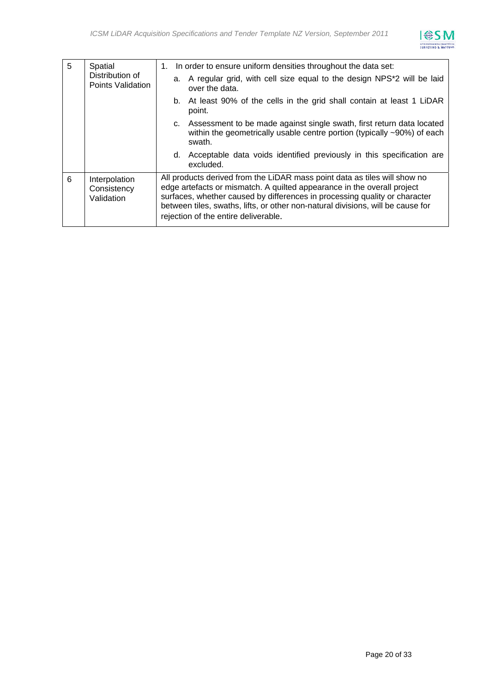

| 5 | Spatial                                    | 1. In order to ensure uniform densities throughout the data set:                                                                                                                                                                                                                                                                                              |
|---|--------------------------------------------|---------------------------------------------------------------------------------------------------------------------------------------------------------------------------------------------------------------------------------------------------------------------------------------------------------------------------------------------------------------|
|   | Distribution of<br>Points Validation       | a. A regular grid, with cell size equal to the design NPS <sup>*</sup> 2 will be laid<br>over the data.                                                                                                                                                                                                                                                       |
|   |                                            | b. At least 90% of the cells in the grid shall contain at least 1 LiDAR<br>point.                                                                                                                                                                                                                                                                             |
|   |                                            | Assessment to be made against single swath, first return data located<br>C.<br>within the geometrically usable centre portion (typically ~90%) of each<br>swath.                                                                                                                                                                                              |
|   |                                            | Acceptable data voids identified previously in this specification are<br>d.<br>excluded.                                                                                                                                                                                                                                                                      |
| 6 | Interpolation<br>Consistency<br>Validation | All products derived from the LiDAR mass point data as tiles will show no<br>edge artefacts or mismatch. A quilted appearance in the overall project<br>surfaces, whether caused by differences in processing quality or character<br>between tiles, swaths, lifts, or other non-natural divisions, will be cause for<br>rejection of the entire deliverable. |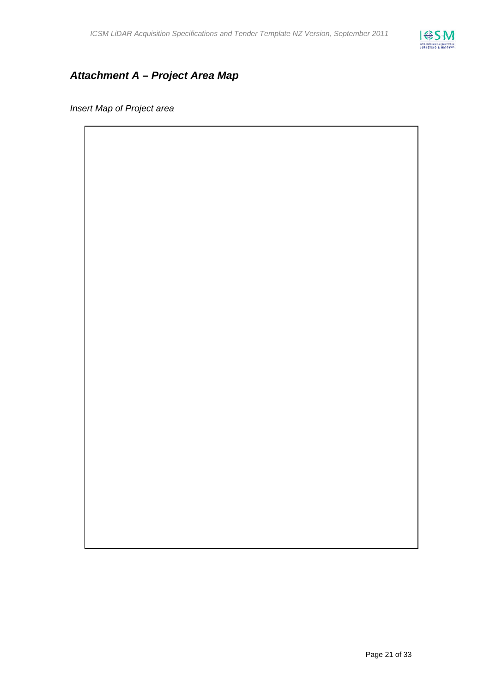

## *Attachment A – Project Area Map*

*Insert Map of Project area*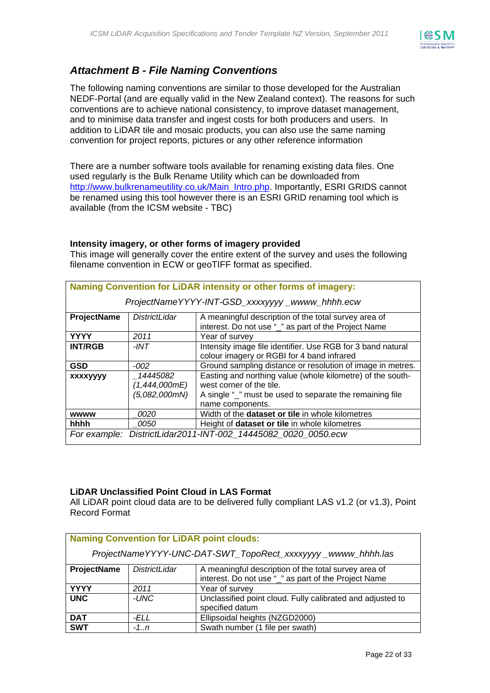

## *Attachment B - File Naming Conventions*

The following naming conventions are similar to those developed for the Australian NEDF-Portal (and are equally valid in the New Zealand context). The reasons for such conventions are to achieve national consistency, to improve dataset management, and to minimise data transfer and ingest costs for both producers and users. In addition to LiDAR tile and mosaic products, you can also use the same naming convention for project reports, pictures or any other reference information

There are a number software tools available for renaming existing data files. One used regularly is the Bulk Rename Utility which can be downloaded from [http://www.bulkrenameutility.co.uk/Main\\_Intro.php.](http://www.bulkrenameutility.co.uk/Main_Intro.php) Importantly, ESRI GRIDS cannot be renamed using this tool however there is an ESRI GRID renaming tool which is available (from the ICSM website - TBC)

#### **Intensity imagery, or other forms of imagery provided**

This image will generally cover the entire extent of the survey and uses the following filename convention in ECW or geoTIFF format as specified.

| Naming Convention for LiDAR intensity or other forms of imagery: |                      |                                                               |  |
|------------------------------------------------------------------|----------------------|---------------------------------------------------------------|--|
| ProjectNameYYYY-INT-GSD_xxxxyyyy_wwww_hhhh.ecw                   |                      |                                                               |  |
| ProjectName                                                      | <b>DistrictLidar</b> | A meaningful description of the total survey area of          |  |
|                                                                  |                      | interest. Do not use "_" as part of the Project Name          |  |
| <b>YYYY</b>                                                      | 2011                 | Year of survey                                                |  |
| <b>INT/RGB</b>                                                   | -INT                 | Intensity image file identifier. Use RGB for 3 band natural   |  |
|                                                                  |                      | colour imagery or RGBI for 4 band infrared                    |  |
| <b>GSD</b>                                                       | $-002$               | Ground sampling distance or resolution of image in metres.    |  |
| <b>XXXXVVVV</b>                                                  | 14445082             | Easting and northing value (whole kilometre) of the south-    |  |
|                                                                  | (1,444,000mE)        | west corner of the tile.                                      |  |
|                                                                  | (5,082,000mN)        | A single "_" must be used to separate the remaining file      |  |
|                                                                  |                      | name components.                                              |  |
| <b>wwww</b>                                                      | <i>0020</i>          | Width of the <b>dataset or tile</b> in whole kilometres       |  |
| hhhh                                                             | <i>0050</i>          | Height of dataset or tile in whole kilometres                 |  |
|                                                                  |                      | For example: DistrictLidar2011-INT-002_14445082_0020_0050.ecw |  |

#### **LiDAR Unclassified Point Cloud in LAS Format**

All LiDAR point cloud data are to be delivered fully compliant LAS v1.2 (or v1.3), Point Record Format

| <b>Naming Convention for LiDAR point clouds:</b>            |                      |                                                                                                             |
|-------------------------------------------------------------|----------------------|-------------------------------------------------------------------------------------------------------------|
| ProjectNameYYYY-UNC-DAT-SWT_TopoRect_xxxxyyyy_wwww_hhhh.las |                      |                                                                                                             |
| <b>ProjectName</b>                                          | <b>DistrictLidar</b> | A meaningful description of the total survey area of<br>interest. Do not use "" as part of the Project Name |
| <b>YYYY</b>                                                 | 2011                 | Year of survey                                                                                              |
| <b>UNC</b>                                                  | -UNC                 | Unclassified point cloud. Fully calibrated and adjusted to<br>specified datum                               |
| <b>DAT</b>                                                  | -ELL                 | Ellipsoidal heights (NZGD2000)                                                                              |
| <b>SWT</b>                                                  | $-1n$                | Swath number (1 file per swath)                                                                             |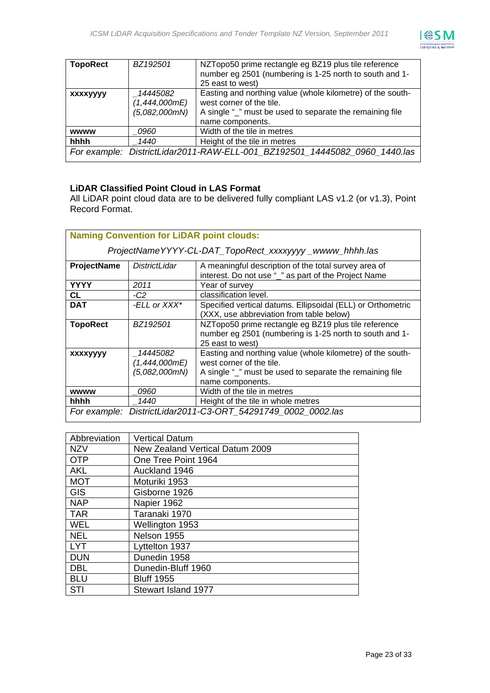

| <b>TopoRect</b> | BZ192501                                   | NZTopo50 prime rectangle eg BZ19 plus tile reference<br>number eg 2501 (numbering is 1-25 north to south and 1-<br>25 east to west)                                    |
|-----------------|--------------------------------------------|------------------------------------------------------------------------------------------------------------------------------------------------------------------------|
| <b>XXXXYYYY</b> | 14445082<br>(1,444,000mE)<br>(5,082,000mN) | Easting and northing value (whole kilometre) of the south-<br>west corner of the tile.<br>A single "_" must be used to separate the remaining file<br>name components. |
| <b>WWWW</b>     | 0960                                       | Width of the tile in metres                                                                                                                                            |
| hhhh            | 1440                                       | Height of the tile in metres                                                                                                                                           |
|                 |                                            | For example: DistrictLidar2011-RAW-ELL-001 BZ192501 14445082 0960 1440.las                                                                                             |

#### **LiDAR Classified Point Cloud in LAS Format**

All LiDAR point cloud data are to be delivered fully compliant LAS v1.2 (or v1.3), Point Record Format.

| <b>Naming Convention for LiDAR point clouds:</b>       |                                            |                                                                                                                                                                        |  |
|--------------------------------------------------------|--------------------------------------------|------------------------------------------------------------------------------------------------------------------------------------------------------------------------|--|
| ProjectNameYYYY-CL-DAT_TopoRect_xxxxyyyy_wwww_hhhh.las |                                            |                                                                                                                                                                        |  |
| ProjectName                                            | DistrictLidar                              | A meaningful description of the total survey area of<br>interest. Do not use "_" as part of the Project Name                                                           |  |
| <b>YYYY</b>                                            | 2011                                       | Year of survey                                                                                                                                                         |  |
| CL                                                     | $-C2$                                      | classification level.                                                                                                                                                  |  |
| <b>DAT</b>                                             | -ELL or XXX*                               | Specified vertical datums. Ellipsoidal (ELL) or Orthometric<br>(XXX, use abbreviation from table below)                                                                |  |
| <b>TopoRect</b>                                        | BZ192501                                   | NZTopo50 prime rectangle eg BZ19 plus tile reference<br>number eg 2501 (numbering is 1-25 north to south and 1-<br>25 east to west)                                    |  |
| <b>XXXXVVVV</b>                                        | 14445082<br>(1,444,000mE)<br>(5,082,000mN) | Easting and northing value (whole kilometre) of the south-<br>west corner of the tile.<br>A single "_" must be used to separate the remaining file<br>name components. |  |
| <b>wwww</b>                                            | <i>0960</i>                                | Width of the tile in metres                                                                                                                                            |  |
| hhhh                                                   | 1440                                       | Height of the tile in whole metres                                                                                                                                     |  |
|                                                        |                                            | For example: DistrictLidar2011-C3-ORT_54291749_0002_0002.las                                                                                                           |  |

| Abbreviation | <b>Vertical Datum</b>           |
|--------------|---------------------------------|
| <b>NZV</b>   | New Zealand Vertical Datum 2009 |
| <b>OTP</b>   | One Tree Point 1964             |
| <b>AKL</b>   | Auckland 1946                   |
| <b>MOT</b>   | Moturiki 1953                   |
| <b>GIS</b>   | Gisborne 1926                   |
| <b>NAP</b>   | Napier 1962                     |
| <b>TAR</b>   | Taranaki 1970                   |
| <b>WEL</b>   | Wellington 1953                 |
| <b>NEL</b>   | Nelson 1955                     |
| <b>LYT</b>   | Lyttelton 1937                  |
| <b>DUN</b>   | Dunedin 1958                    |
| <b>DBL</b>   | Dunedin-Bluff 1960              |
| <b>BLU</b>   | <b>Bluff 1955</b>               |
| STI          | Stewart Island 1977             |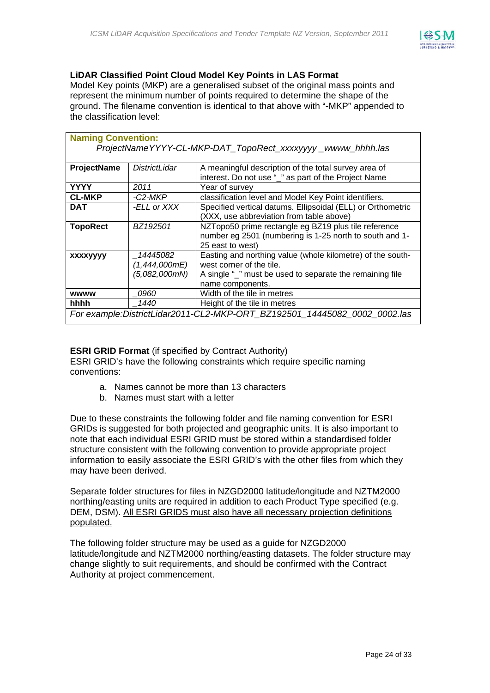

#### **LiDAR Classified Point Cloud Model Key Points in LAS Format**

Model Key points (MKP) are a generalised subset of the original mass points and represent the minimum number of points required to determine the shape of the ground. The filename convention is identical to that above with "-MKP" appended to the classification level:

| <b>Naming Convention:</b>                                                 |               |                                                             |  |  |
|---------------------------------------------------------------------------|---------------|-------------------------------------------------------------|--|--|
| ProjectNameYYYY-CL-MKP-DAT_TopoRect_xxxxyyyy_wwww_hhhh.las                |               |                                                             |  |  |
|                                                                           |               |                                                             |  |  |
| ProjectName                                                               | DistrictLidar | A meaningful description of the total survey area of        |  |  |
|                                                                           |               | interest. Do not use "_" as part of the Project Name        |  |  |
| <b>YYYY</b>                                                               | 2011          | Year of survey                                              |  |  |
| <b>CL-MKP</b>                                                             | -C2-MKP       | classification level and Model Key Point identifiers.       |  |  |
| <b>DAT</b>                                                                | -ELL or XXX   | Specified vertical datums. Ellipsoidal (ELL) or Orthometric |  |  |
|                                                                           |               | (XXX, use abbreviation from table above)                    |  |  |
| <b>TopoRect</b>                                                           | BZ192501      | NZTopo50 prime rectangle eg BZ19 plus tile reference        |  |  |
|                                                                           |               | number eg 2501 (numbering is 1-25 north to south and 1-     |  |  |
|                                                                           |               | 25 east to west)                                            |  |  |
| <b>XXXXVVVV</b>                                                           | 14445082      | Easting and northing value (whole kilometre) of the south-  |  |  |
|                                                                           | (1,444,000mE) | west corner of the tile.                                    |  |  |
|                                                                           | (5,082,000mN) | A single "_" must be used to separate the remaining file    |  |  |
|                                                                           |               | name components.                                            |  |  |
| <b>wwww</b>                                                               | <i>0960</i>   | Width of the tile in metres                                 |  |  |
| hhhh                                                                      | 1440          | Height of the tile in metres                                |  |  |
| For example:DistrictLidar2011-CL2-MKP-ORT_BZ192501_14445082_0002_0002.las |               |                                                             |  |  |

#### **ESRI GRID Format** (if specified by Contract Authority)

ESRI GRID's have the following constraints which require specific naming conventions:

- a. Names cannot be more than 13 characters
- b. Names must start with a letter

Due to these constraints the following folder and file naming convention for ESRI GRIDs is suggested for both projected and geographic units. It is also important to note that each individual ESRI GRID must be stored within a standardised folder structure consistent with the following convention to provide appropriate project information to easily associate the ESRI GRID's with the other files from which they may have been derived.

Separate folder structures for files in NZGD2000 latitude/longitude and NZTM2000 northing/easting units are required in addition to each Product Type specified (e.g. DEM, DSM). All ESRI GRIDS must also have all necessary projection definitions populated.

The following folder structure may be used as a guide for NZGD2000 latitude/longitude and NZTM2000 northing/easting datasets. The folder structure may change slightly to suit requirements, and should be confirmed with the Contract Authority at project commencement.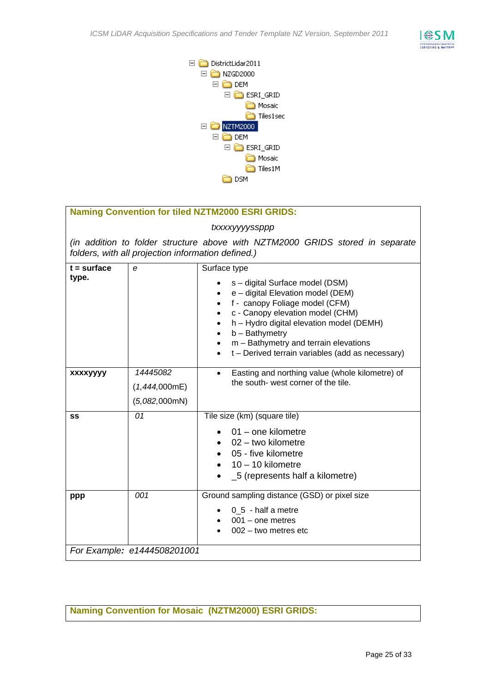



#### **Naming Convention for tiled NZTM2000 ESRI GRIDS:**

#### *txxxxyyyyssppp*

*(in addition to folder structure above with NZTM2000 GRIDS stored in separate folders, with all projection information defined.)*

| $t = surface$<br>type.      | e                                          | Surface type<br>s – digital Surface model (DSM)<br>e - digital Elevation model (DEM)<br>f - canopy Foliage model (CFM)<br>c - Canopy elevation model (CHM)<br>h - Hydro digital elevation model (DEMH)<br>$b -$ Bathymetry<br>$m -$ Bathymetry and terrain elevations<br>t - Derived terrain variables (add as necessary) |  |  |
|-----------------------------|--------------------------------------------|---------------------------------------------------------------------------------------------------------------------------------------------------------------------------------------------------------------------------------------------------------------------------------------------------------------------------|--|--|
| xxxxyyyy                    | 14445082<br>(1,444,000mE)<br>(5,082,000mN) | Easting and northing value (whole kilometre) of<br>$\bullet$<br>the south- west corner of the tile.                                                                                                                                                                                                                       |  |  |
| <b>SS</b>                   | 01                                         | Tile size (km) (square tile)<br>$01$ – one kilometre<br>$02 -$ two kilometre<br>05 - five kilometre<br>$10 - 10$ kilometre<br>_5 (represents half a kilometre)<br>$\bullet$                                                                                                                                               |  |  |
| ppp                         | 001                                        | Ground sampling distance (GSD) or pixel size<br>$0\,5$ - half a metre<br>$001 -$ one metres<br>$002 -$ two metres etc                                                                                                                                                                                                     |  |  |
| For Example: e1444508201001 |                                            |                                                                                                                                                                                                                                                                                                                           |  |  |

**Naming Convention for Mosaic (NZTM2000) ESRI GRIDS:**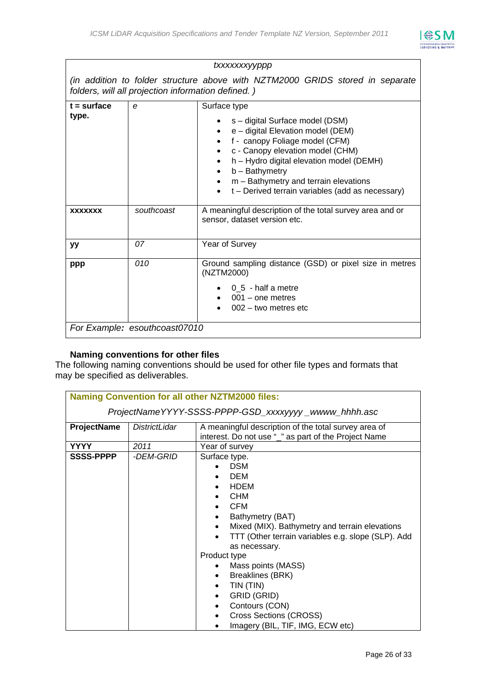

#### *txxxxxxxyyppp*

*(in addition to folder structure above with NZTM2000 GRIDS stored in separate folders, will all projection information defined. )*

| $t = surface$<br>type. | e                             | Surface type<br>s – digital Surface model (DSM)<br>e - digital Elevation model (DEM)<br>f - canopy Foliage model (CFM)<br>c - Canopy elevation model (CHM)<br>h - Hydro digital elevation model (DEMH)<br>$b -$ Bathymetry<br>$m -$ Bathymetry and terrain elevations<br>$\bullet$<br>t - Derived terrain variables (add as necessary) |  |  |
|------------------------|-------------------------------|----------------------------------------------------------------------------------------------------------------------------------------------------------------------------------------------------------------------------------------------------------------------------------------------------------------------------------------|--|--|
| <b>XXXXXXX</b>         | southcoast                    | A meaningful description of the total survey area and or<br>sensor, dataset version etc.                                                                                                                                                                                                                                               |  |  |
| уу                     | 07                            | Year of Survey                                                                                                                                                                                                                                                                                                                         |  |  |
| ppp                    | 010                           | Ground sampling distance (GSD) or pixel size in metres<br>(NZTM2000)<br>$\bullet$ 0_5 - half a metre<br>$001 -$ one metres<br>$002 -$ two metres etc                                                                                                                                                                                   |  |  |
|                        | For Example: esouthcoast07010 |                                                                                                                                                                                                                                                                                                                                        |  |  |

#### **Naming conventions for other files**

The following naming conventions should be used for other file types and formats that may be specified as deliverables.

|                    |                                                      | <b>Naming Convention for all other NZTM2000 files:</b>                                                                                                                                                                                                                                                                                                                                                                                                       |  |  |  |  |
|--------------------|------------------------------------------------------|--------------------------------------------------------------------------------------------------------------------------------------------------------------------------------------------------------------------------------------------------------------------------------------------------------------------------------------------------------------------------------------------------------------------------------------------------------------|--|--|--|--|
|                    | ProjectNameYYYY-SSSS-PPPP-GSD_xxxxyyyy_wwww_hhhh.asc |                                                                                                                                                                                                                                                                                                                                                                                                                                                              |  |  |  |  |
| <b>ProjectName</b> | DistrictLidar                                        | A meaningful description of the total survey area of<br>interest. Do not use "_" as part of the Project Name                                                                                                                                                                                                                                                                                                                                                 |  |  |  |  |
| YYYY               | 2011                                                 | Year of survey                                                                                                                                                                                                                                                                                                                                                                                                                                               |  |  |  |  |
| <b>SSSS-PPPP</b>   | -DEM-GRID                                            | Surface type.<br><b>DSM</b><br><b>DEM</b><br><b>HDEM</b><br><b>CHM</b><br><b>CFM</b><br>Bathymetry (BAT)<br>$\bullet$<br>Mixed (MIX). Bathymetry and terrain elevations<br>$\bullet$<br>TTT (Other terrain variables e.g. slope (SLP). Add<br>as necessary.<br>Product type<br>Mass points (MASS)<br><b>Breaklines (BRK)</b><br>٠<br>TIN (TIN)<br>٠<br>GRID (GRID)<br>Contours (CON)<br>Cross Sections (CROSS)<br>٠<br>Imagery (BIL, TIF, IMG, ECW etc)<br>٠ |  |  |  |  |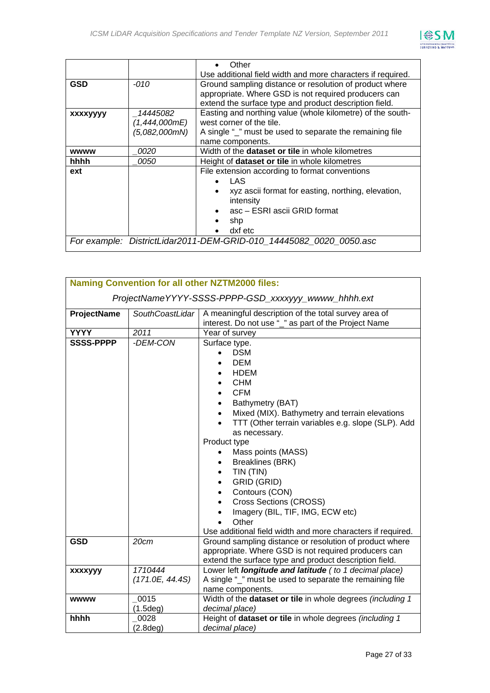

|                 |               | Other                                                              |  |  |  |
|-----------------|---------------|--------------------------------------------------------------------|--|--|--|
|                 |               | Use additional field width and more characters if required.        |  |  |  |
| <b>GSD</b>      | -010          | Ground sampling distance or resolution of product where            |  |  |  |
|                 |               | appropriate. Where GSD is not required producers can               |  |  |  |
|                 |               | extend the surface type and product description field.             |  |  |  |
| <b>XXXXVVVV</b> | 14445082      | Easting and northing value (whole kilometre) of the south-         |  |  |  |
|                 | (1,444,000mE) | west corner of the tile.                                           |  |  |  |
|                 | (5,082,000mN) | A single "_" must be used to separate the remaining file           |  |  |  |
|                 |               | name components.                                                   |  |  |  |
| <b>wwww</b>     | <i>0020</i>   | Width of the <b>dataset or tile</b> in whole kilometres            |  |  |  |
| hhhh            | <i>0050</i>   | Height of dataset or tile in whole kilometres                      |  |  |  |
| ext             |               | File extension according to format conventions                     |  |  |  |
|                 |               | LAS                                                                |  |  |  |
|                 |               | xyz ascii format for easting, northing, elevation,                 |  |  |  |
|                 |               | intensity                                                          |  |  |  |
|                 |               | asc – ESRI ascii GRID format                                       |  |  |  |
|                 |               | shp                                                                |  |  |  |
|                 |               | dxf etc                                                            |  |  |  |
|                 |               | For example: DistrictLidar2011-DEM-GRID-010 14445082 0020 0050.asc |  |  |  |

|                    | <b>Naming Convention for all other NZTM2000 files:</b> |                                                                                                                                                                                                                                                                                                                                                                                                                                                                                                                                                          |  |  |  |
|--------------------|--------------------------------------------------------|----------------------------------------------------------------------------------------------------------------------------------------------------------------------------------------------------------------------------------------------------------------------------------------------------------------------------------------------------------------------------------------------------------------------------------------------------------------------------------------------------------------------------------------------------------|--|--|--|
|                    | ProjectNameYYYY-SSSS-PPPP-GSD_xxxxyyy_wwww_hhhh.ext    |                                                                                                                                                                                                                                                                                                                                                                                                                                                                                                                                                          |  |  |  |
| <b>ProjectName</b> | SouthCoastLidar                                        | A meaningful description of the total survey area of<br>interest. Do not use "_" as part of the Project Name                                                                                                                                                                                                                                                                                                                                                                                                                                             |  |  |  |
| <b>YYYY</b>        | 2011                                                   | Year of survey                                                                                                                                                                                                                                                                                                                                                                                                                                                                                                                                           |  |  |  |
| <b>SSSS-PPPP</b>   | -DEM-CON                                               | Surface type.<br><b>DSM</b><br><b>DEM</b><br><b>HDEM</b><br><b>CHM</b><br><b>CFM</b><br>$\bullet$<br>Bathymetry (BAT)<br>$\bullet$<br>Mixed (MIX). Bathymetry and terrain elevations<br>$\bullet$<br>TTT (Other terrain variables e.g. slope (SLP). Add<br>$\bullet$<br>as necessary.<br>Product type<br>Mass points (MASS)<br><b>Breaklines (BRK)</b><br>TIN (TIN)<br><b>GRID (GRID)</b><br>Contours (CON)<br><b>Cross Sections (CROSS)</b><br>Imagery (BIL, TIF, IMG, ECW etc)<br>Other<br>Use additional field width and more characters if required. |  |  |  |
| <b>GSD</b>         | 20cm                                                   | Ground sampling distance or resolution of product where<br>appropriate. Where GSD is not required producers can<br>extend the surface type and product description field.                                                                                                                                                                                                                                                                                                                                                                                |  |  |  |
| xxxxyyy            | 1710444<br>(171.0E, 44.4S)                             | Lower left longitude and latitude (to 1 decimal place)<br>A single "_" must be used to separate the remaining file<br>name components.                                                                                                                                                                                                                                                                                                                                                                                                                   |  |  |  |
| <b>wwww</b>        | 0015<br>(1.5deg)                                       | Width of the dataset or tile in whole degrees (including 1<br>decimal place)                                                                                                                                                                                                                                                                                                                                                                                                                                                                             |  |  |  |
| hhhh               | 0028<br>(2.8deg)                                       | Height of dataset or tile in whole degrees (including 1<br>decimal place)                                                                                                                                                                                                                                                                                                                                                                                                                                                                                |  |  |  |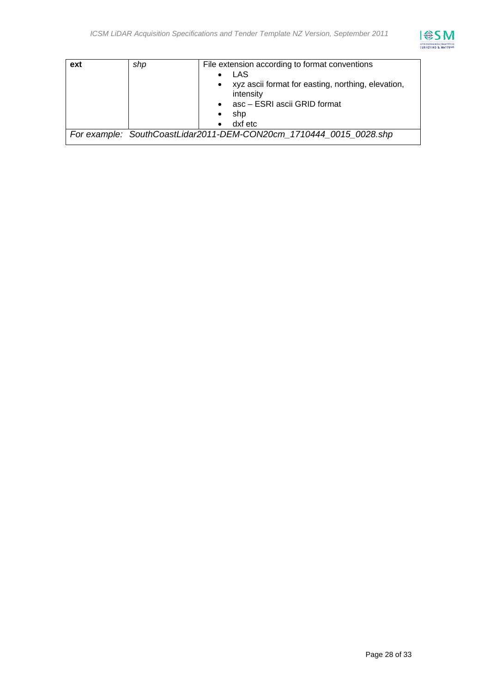

| ext | shp | File extension according to format conventions<br>LAS              |  |  |
|-----|-----|--------------------------------------------------------------------|--|--|
|     |     | xyz ascii format for easting, northing, elevation,<br>intensity    |  |  |
|     |     | asc - ESRI ascii GRID format                                       |  |  |
|     |     | shp                                                                |  |  |
|     |     | dxf etc                                                            |  |  |
|     |     | For example: SouthCoastLidar2011-DEM-CON20cm 1710444 0015 0028.shp |  |  |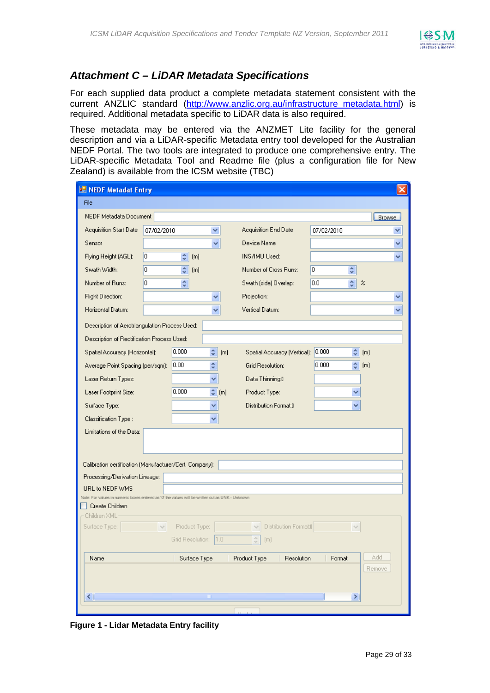

## *Attachment C – LiDAR Metadata Specifications*

For each supplied data product a complete metadata statement consistent with the current ANZLIC standard (http://www.anzlic.org.au/infrastructure\_metadata.html) is required. Additional metadata specific to LiDAR data is also required.

These metadata may be entered via the ANZMET Lite facility for the general description and via a LiDAR-specific Metadata entry tool developed for the Australian NEDF Portal. The two tools are integrated to produce one comprehensive entry. The LiDAR-specific Metadata Tool and Readme file (plus a configuration file for New Zealand) is available from the ICSM website (TBC)

| <b>NEDF Metadat Entry</b>                                                                        |                                                             |                    |                  |                  |  |                                                                        |            |                            |               |
|--------------------------------------------------------------------------------------------------|-------------------------------------------------------------|--------------------|------------------|------------------|--|------------------------------------------------------------------------|------------|----------------------------|---------------|
| File                                                                                             |                                                             |                    |                  |                  |  |                                                                        |            |                            |               |
| <b>NEDF Metadata Document</b>                                                                    |                                                             |                    |                  |                  |  |                                                                        |            |                            | <b>Browse</b> |
| <b>Acquisition Start Date</b>                                                                    | 07/02/2010                                                  |                    |                  | ٧                |  | Acquisition End Date                                                   | 07/02/2010 |                            |               |
| Sensor                                                                                           |                                                             |                    |                  | v                |  | Device Name                                                            |            |                            |               |
| Flying Height (AGL):                                                                             | 0                                                           | ÷                  | (m)              |                  |  | INS/IMU Used:                                                          |            |                            |               |
| Swath Width:                                                                                     | O                                                           | ÷                  | [m]              |                  |  | Number of Cross Runs:                                                  | 10<br>÷    |                            |               |
| Number of Runs:                                                                                  | O                                                           | $\hat{\mathbf{v}}$ |                  |                  |  | Swath (side) Overlap:                                                  | 0.0<br>÷   | $\boldsymbol{\mathcal{Z}}$ |               |
| Flight Direction:                                                                                |                                                             |                    |                  |                  |  | Projection:                                                            |            |                            |               |
| Horizontal Datum:                                                                                |                                                             |                    |                  |                  |  | Vertical Datum:                                                        |            |                            |               |
| Description of Aerotriangulation Process Used:                                                   |                                                             |                    |                  |                  |  |                                                                        |            |                            |               |
| Description of Rectification Process Used:                                                       |                                                             |                    |                  |                  |  |                                                                        |            |                            |               |
| Spatial Accuracy (Horizontal):                                                                   |                                                             | 0.000              | ¢                | (m)              |  | Spatial Accuracy (Vertical):                                           | 0.000      | ¢<br>(m)                   |               |
| Average Point Spacing (per/sqm):                                                                 |                                                             | 0.00               | ÷                |                  |  | Grid Resolution:                                                       | 0.000      | $\hat{\mathbf{v}}$<br>(m)  |               |
| Laser Return Types:                                                                              |                                                             |                    | v                |                  |  | Data Thinning: <sup>1</sup>                                            |            |                            |               |
| Laser Footprint Size:                                                                            |                                                             | 0.000              |                  | $\leftarrow$ (m) |  | Product Type:                                                          |            | v                          |               |
| Surface Type:                                                                                    |                                                             |                    | ٧                |                  |  | <b>Distribution Format:</b> <sup>0</sup>                               |            |                            |               |
| Classification Type:                                                                             |                                                             |                    | ٧                |                  |  |                                                                        |            |                            |               |
| Limitations of the Data:                                                                         |                                                             |                    |                  |                  |  |                                                                        |            |                            |               |
|                                                                                                  |                                                             |                    |                  |                  |  |                                                                        |            |                            |               |
|                                                                                                  |                                                             |                    |                  |                  |  |                                                                        |            |                            |               |
| Calibration certification (Manufacturer/Cert. Company):                                          |                                                             |                    |                  |                  |  |                                                                        |            |                            |               |
| Processing/Derivation Lineage:<br>URL to NEDF WMS                                                |                                                             |                    |                  |                  |  |                                                                        |            |                            |               |
| Note: For values in numeric boxes entered as '0' the values will be written out as UNK - Unknown |                                                             |                    |                  |                  |  |                                                                        |            |                            |               |
| Create Children                                                                                  |                                                             |                    |                  |                  |  |                                                                        |            |                            |               |
| Children XML<br>Surface Type:                                                                    | $\vee$                                                      |                    | Product Type:    |                  |  | Distribution Format:II<br>$\vee$                                       |            |                            |               |
|                                                                                                  |                                                             |                    | Grid Resolution: | 1.0              |  | $\stackrel{\scriptscriptstyle \wedge}{\scriptscriptstyle \vee}$<br>[m] |            |                            |               |
|                                                                                                  |                                                             |                    |                  |                  |  |                                                                        |            |                            |               |
| Name                                                                                             | Add<br>Surface Type<br>Product Type<br>Resolution<br>Format |                    |                  |                  |  |                                                                        |            |                            |               |
| Remove                                                                                           |                                                             |                    |                  |                  |  |                                                                        |            |                            |               |
|                                                                                                  |                                                             |                    |                  |                  |  |                                                                        |            |                            |               |
| ≤∥                                                                                               | $\rm III$<br>$\rightarrow$                                  |                    |                  |                  |  |                                                                        |            |                            |               |

**Figure 1 - Lidar Metadata Entry facility**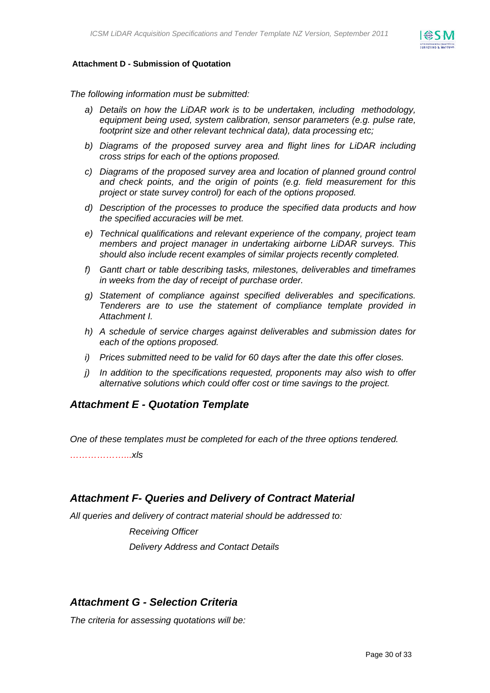

#### **Attachment D - Submission of Quotation**

*The following information must be submitted:* 

- *a) Details on how the LiDAR work is to be undertaken, including methodology, equipment being used, system calibration, sensor parameters (e.g. pulse rate, footprint size and other relevant technical data), data processing etc;*
- *b) Diagrams of the proposed survey area and flight lines for LiDAR including cross strips for each of the options proposed.*
- *c) Diagrams of the proposed survey area and location of planned ground control and check points, and the origin of points (e.g. field measurement for this project or state survey control) for each of the options proposed.*
- *d) Description of the processes to produce the specified data products and how the specified accuracies will be met.*
- *e) Technical qualifications and relevant experience of the company, project team members and project manager in undertaking airborne LiDAR surveys. This should also include recent examples of similar projects recently completed.*
- *f) Gantt chart or table describing tasks, milestones, deliverables and timeframes in weeks from the day of receipt of purchase order.*
- *g) Statement of compliance against specified deliverables and specifications. Tenderers are to use the statement of compliance template provided in Attachment I.*
- *h) A schedule of service charges against deliverables and submission dates for each of the options proposed.*
- *i) Prices submitted need to be valid for 60 days after the date this offer closes.*
- *j) In addition to the specifications requested, proponents may also wish to offer alternative solutions which could offer cost or time savings to the project.*

#### *Attachment E - Quotation Template*

*One of these templates must be completed for each of the three options tendered.* 

*………………...xls* 

#### *Attachment F- Queries and Delivery of Contract Material*

*All queries and delivery of contract material should be addressed to:* 

*Receiving Officer Delivery Address and Contact Details* 

## *Attachment G - Selection Criteria*

*The criteria for assessing quotations will be:*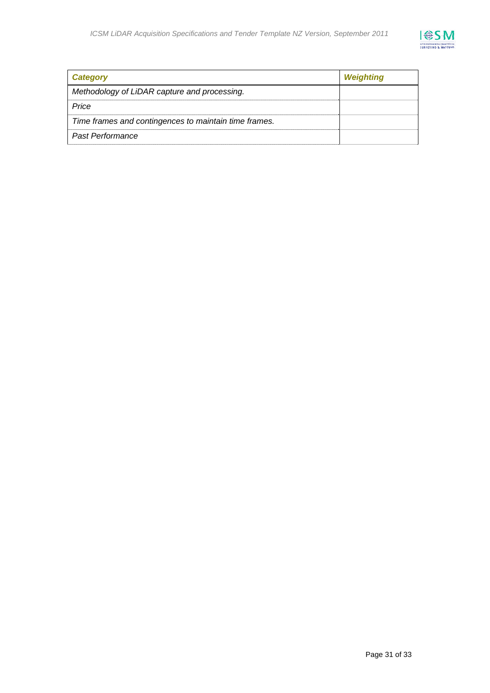

| Category                                              | Weighting |
|-------------------------------------------------------|-----------|
| Methodology of LiDAR capture and processing.          |           |
| Price                                                 |           |
| Time frames and contingences to maintain time frames. |           |
| <b>Past Performance</b>                               |           |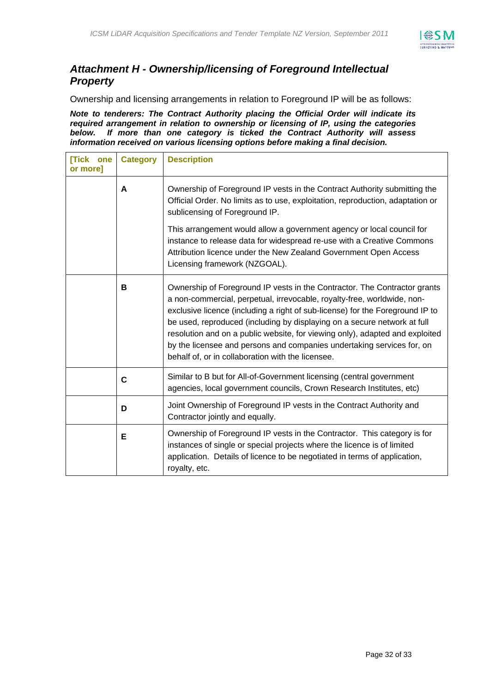

## *Attachment H - Ownership/licensing of Foreground Intellectual Property*

Ownership and licensing arrangements in relation to Foreground IP will be as follows:

*Note to tenderers: The Contract Authority placing the Official Order will indicate its required arrangement in relation to ownership or licensing of IP, using the categories below. If more than one category is ticked the Contract Authority will assess information received on various licensing options before making a final decision.*

| <b>Tick one</b><br>or more] | <b>Category</b> | <b>Description</b>                                                                                                                                                                                                                                                                                                                                                                                                                                                                                                               |
|-----------------------------|-----------------|----------------------------------------------------------------------------------------------------------------------------------------------------------------------------------------------------------------------------------------------------------------------------------------------------------------------------------------------------------------------------------------------------------------------------------------------------------------------------------------------------------------------------------|
|                             | A               | Ownership of Foreground IP vests in the Contract Authority submitting the<br>Official Order. No limits as to use, exploitation, reproduction, adaptation or<br>sublicensing of Foreground IP.                                                                                                                                                                                                                                                                                                                                    |
|                             |                 | This arrangement would allow a government agency or local council for<br>instance to release data for widespread re-use with a Creative Commons<br>Attribution licence under the New Zealand Government Open Access<br>Licensing framework (NZGOAL).                                                                                                                                                                                                                                                                             |
|                             | в               | Ownership of Foreground IP vests in the Contractor. The Contractor grants<br>a non-commercial, perpetual, irrevocable, royalty-free, worldwide, non-<br>exclusive licence (including a right of sub-license) for the Foreground IP to<br>be used, reproduced (including by displaying on a secure network at full<br>resolution and on a public website, for viewing only), adapted and exploited<br>by the licensee and persons and companies undertaking services for, on<br>behalf of, or in collaboration with the licensee. |
|                             | $\mathbf c$     | Similar to B but for All-of-Government licensing (central government<br>agencies, local government councils, Crown Research Institutes, etc)                                                                                                                                                                                                                                                                                                                                                                                     |
|                             | D               | Joint Ownership of Foreground IP vests in the Contract Authority and<br>Contractor jointly and equally.                                                                                                                                                                                                                                                                                                                                                                                                                          |
|                             | Е               | Ownership of Foreground IP vests in the Contractor. This category is for<br>instances of single or special projects where the licence is of limited<br>application. Details of licence to be negotiated in terms of application,<br>royalty, etc.                                                                                                                                                                                                                                                                                |